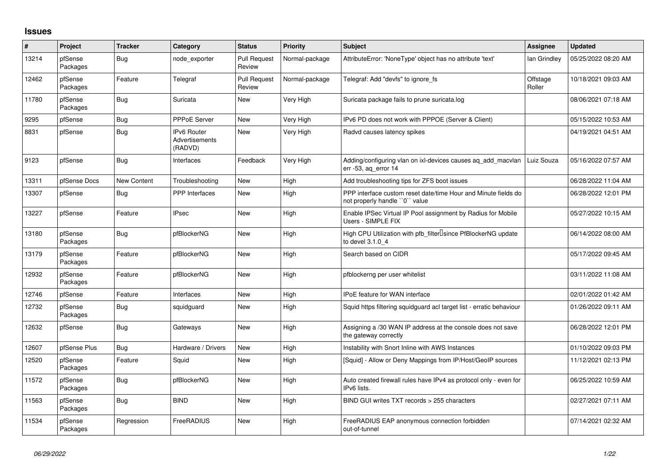## **Issues**

| #     | Project             | <b>Tracker</b>     | Category                                        | <b>Status</b>                 | <b>Priority</b> | <b>Subject</b>                                                                                  | <b>Assignee</b>    | <b>Updated</b>      |
|-------|---------------------|--------------------|-------------------------------------------------|-------------------------------|-----------------|-------------------------------------------------------------------------------------------------|--------------------|---------------------|
| 13214 | pfSense<br>Packages | <b>Bug</b>         | node exporter                                   | <b>Pull Request</b><br>Review | Normal-package  | AttributeError: 'NoneType' object has no attribute 'text'                                       | lan Grindley       | 05/25/2022 08:20 AM |
| 12462 | pfSense<br>Packages | Feature            | Telegraf                                        | <b>Pull Request</b><br>Review | Normal-package  | Telegraf: Add "devfs" to ignore_fs                                                              | Offstage<br>Roller | 10/18/2021 09:03 AM |
| 11780 | pfSense<br>Packages | <b>Bug</b>         | Suricata                                        | New                           | Very High       | Suricata package fails to prune suricata.log                                                    |                    | 08/06/2021 07:18 AM |
| 9295  | pfSense             | <b>Bug</b>         | PPPoE Server                                    | New                           | Very High       | IPv6 PD does not work with PPPOE (Server & Client)                                              |                    | 05/15/2022 10:53 AM |
| 8831  | pfSense             | <b>Bug</b>         | <b>IPv6 Router</b><br>Advertisements<br>(RADVD) | <b>New</b>                    | Very High       | Radvd causes latency spikes                                                                     |                    | 04/19/2021 04:51 AM |
| 9123  | pfSense             | <b>Bug</b>         | Interfaces                                      | Feedback                      | Very High       | Adding/configuring vlan on ixl-devices causes aq_add_macvlan<br>err -53, ag error 14            | Luiz Souza         | 05/16/2022 07:57 AM |
| 13311 | pfSense Docs        | <b>New Content</b> | Troubleshooting                                 | New                           | High            | Add troubleshooting tips for ZFS boot issues                                                    |                    | 06/28/2022 11:04 AM |
| 13307 | pfSense             | Bug                | <b>PPP</b> Interfaces                           | New                           | High            | PPP interface custom reset date/time Hour and Minute fields do<br>not properly handle "0" value |                    | 06/28/2022 12:01 PM |
| 13227 | pfSense             | Feature            | <b>IPsec</b>                                    | <b>New</b>                    | High            | Enable IPSec Virtual IP Pool assignment by Radius for Mobile<br>Users - SIMPLE FIX              |                    | 05/27/2022 10:15 AM |
| 13180 | pfSense<br>Packages | <b>Bug</b>         | pfBlockerNG                                     | <b>New</b>                    | High            | High CPU Utilization with pfb filter Isince PfBlockerNG update<br>to devel 3.1.0 4              |                    | 06/14/2022 08:00 AM |
| 13179 | pfSense<br>Packages | Feature            | pfBlockerNG                                     | <b>New</b>                    | High            | Search based on CIDR                                                                            |                    | 05/17/2022 09:45 AM |
| 12932 | pfSense<br>Packages | Feature            | pfBlockerNG                                     | <b>New</b>                    | High            | pfblockerng per user whitelist                                                                  |                    | 03/11/2022 11:08 AM |
| 12746 | pfSense             | Feature            | Interfaces                                      | <b>New</b>                    | High            | <b>IPoE</b> feature for WAN interface                                                           |                    | 02/01/2022 01:42 AM |
| 12732 | pfSense<br>Packages | <b>Bug</b>         | squidguard                                      | <b>New</b>                    | High            | Squid https filtering squidguard acl target list - erratic behaviour                            |                    | 01/26/2022 09:11 AM |
| 12632 | pfSense             | <b>Bug</b>         | Gateways                                        | <b>New</b>                    | High            | Assigning a /30 WAN IP address at the console does not save<br>the gateway correctly            |                    | 06/28/2022 12:01 PM |
| 12607 | pfSense Plus        | <b>Bug</b>         | Hardware / Drivers                              | <b>New</b>                    | High            | Instability with Snort Inline with AWS Instances                                                |                    | 01/10/2022 09:03 PM |
| 12520 | pfSense<br>Packages | Feature            | Squid                                           | <b>New</b>                    | High            | [Squid] - Allow or Deny Mappings from IP/Host/GeoIP sources                                     |                    | 11/12/2021 02:13 PM |
| 11572 | pfSense<br>Packages | <b>Bug</b>         | pfBlockerNG                                     | <b>New</b>                    | High            | Auto created firewall rules have IPv4 as protocol only - even for<br>IPv6 lists.                |                    | 06/25/2022 10:59 AM |
| 11563 | pfSense<br>Packages | <b>Bug</b>         | <b>BIND</b>                                     | <b>New</b>                    | High            | BIND GUI writes TXT records > 255 characters                                                    |                    | 02/27/2021 07:11 AM |
| 11534 | pfSense<br>Packages | Regression         | FreeRADIUS                                      | <b>New</b>                    | High            | FreeRADIUS EAP anonymous connection forbidden<br>out-of-tunnel                                  |                    | 07/14/2021 02:32 AM |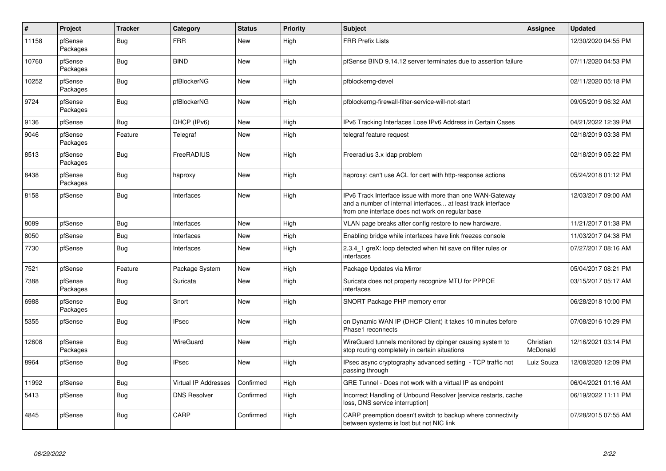| $\vert$ # | Project             | <b>Tracker</b> | Category                    | <b>Status</b> | <b>Priority</b> | <b>Subject</b>                                                                                                                                                                | Assignee              | <b>Updated</b>      |
|-----------|---------------------|----------------|-----------------------------|---------------|-----------------|-------------------------------------------------------------------------------------------------------------------------------------------------------------------------------|-----------------------|---------------------|
| 11158     | pfSense<br>Packages | Bug            | <b>FRR</b>                  | <b>New</b>    | High            | <b>FRR Prefix Lists</b>                                                                                                                                                       |                       | 12/30/2020 04:55 PM |
| 10760     | pfSense<br>Packages | Bug            | <b>BIND</b>                 | <b>New</b>    | High            | pfSense BIND 9.14.12 server terminates due to assertion failure                                                                                                               |                       | 07/11/2020 04:53 PM |
| 10252     | pfSense<br>Packages | Bug            | pfBlockerNG                 | <b>New</b>    | High            | pfblockerng-devel                                                                                                                                                             |                       | 02/11/2020 05:18 PM |
| 9724      | pfSense<br>Packages | Bug            | pfBlockerNG                 | <b>New</b>    | High            | pfblockerng-firewall-filter-service-will-not-start                                                                                                                            |                       | 09/05/2019 06:32 AM |
| 9136      | pfSense             | Bug            | DHCP (IPv6)                 | <b>New</b>    | High            | IPv6 Tracking Interfaces Lose IPv6 Address in Certain Cases                                                                                                                   |                       | 04/21/2022 12:39 PM |
| 9046      | pfSense<br>Packages | Feature        | Telegraf                    | New           | High            | telegraf feature request                                                                                                                                                      |                       | 02/18/2019 03:38 PM |
| 8513      | pfSense<br>Packages | Bug            | FreeRADIUS                  | <b>New</b>    | High            | Freeradius 3.x Idap problem                                                                                                                                                   |                       | 02/18/2019 05:22 PM |
| 8438      | pfSense<br>Packages | Bug            | haproxy                     | <b>New</b>    | High            | haproxy: can't use ACL for cert with http-response actions                                                                                                                    |                       | 05/24/2018 01:12 PM |
| 8158      | pfSense             | <b>Bug</b>     | Interfaces                  | <b>New</b>    | High            | IPv6 Track Interface issue with more than one WAN-Gateway<br>and a number of internal interfaces at least track interface<br>from one interface does not work on regular base |                       | 12/03/2017 09:00 AM |
| 8089      | pfSense             | <b>Bug</b>     | Interfaces                  | <b>New</b>    | High            | VLAN page breaks after config restore to new hardware.                                                                                                                        |                       | 11/21/2017 01:38 PM |
| 8050      | pfSense             | Bug            | Interfaces                  | <b>New</b>    | High            | Enabling bridge while interfaces have link freezes console                                                                                                                    |                       | 11/03/2017 04:38 PM |
| 7730      | pfSense             | <b>Bug</b>     | Interfaces                  | <b>New</b>    | High            | 2.3.4_1 greX: loop detected when hit save on filter rules or<br>interfaces                                                                                                    |                       | 07/27/2017 08:16 AM |
| 7521      | pfSense             | Feature        | Package System              | <b>New</b>    | High            | Package Updates via Mirror                                                                                                                                                    |                       | 05/04/2017 08:21 PM |
| 7388      | pfSense<br>Packages | <b>Bug</b>     | Suricata                    | <b>New</b>    | High            | Suricata does not property recognize MTU for PPPOE<br>interfaces                                                                                                              |                       | 03/15/2017 05:17 AM |
| 6988      | pfSense<br>Packages | <b>Bug</b>     | Snort                       | <b>New</b>    | High            | SNORT Package PHP memory error                                                                                                                                                |                       | 06/28/2018 10:00 PM |
| 5355      | pfSense             | <b>Bug</b>     | <b>IPsec</b>                | <b>New</b>    | High            | on Dynamic WAN IP (DHCP Client) it takes 10 minutes before<br>Phase1 reconnects                                                                                               |                       | 07/08/2016 10:29 PM |
| 12608     | pfSense<br>Packages | <b>Bug</b>     | <b>WireGuard</b>            | <b>New</b>    | High            | WireGuard tunnels monitored by dpinger causing system to<br>stop routing completely in certain situations                                                                     | Christian<br>McDonald | 12/16/2021 03:14 PM |
| 8964      | pfSense             | Bug            | <b>IPsec</b>                | <b>New</b>    | High            | IPsec async cryptography advanced setting - TCP traffic not<br>passing through                                                                                                | Luiz Souza            | 12/08/2020 12:09 PM |
| 11992     | pfSense             | Bug            | <b>Virtual IP Addresses</b> | Confirmed     | High            | GRE Tunnel - Does not work with a virtual IP as endpoint                                                                                                                      |                       | 06/04/2021 01:16 AM |
| 5413      | pfSense             | <b>Bug</b>     | <b>DNS Resolver</b>         | Confirmed     | High            | Incorrect Handling of Unbound Resolver [service restarts, cache<br>loss, DNS service interruption]                                                                            |                       | 06/19/2022 11:11 PM |
| 4845      | pfSense             | <b>Bug</b>     | CARP                        | Confirmed     | High            | CARP preemption doesn't switch to backup where connectivity<br>between systems is lost but not NIC link                                                                       |                       | 07/28/2015 07:55 AM |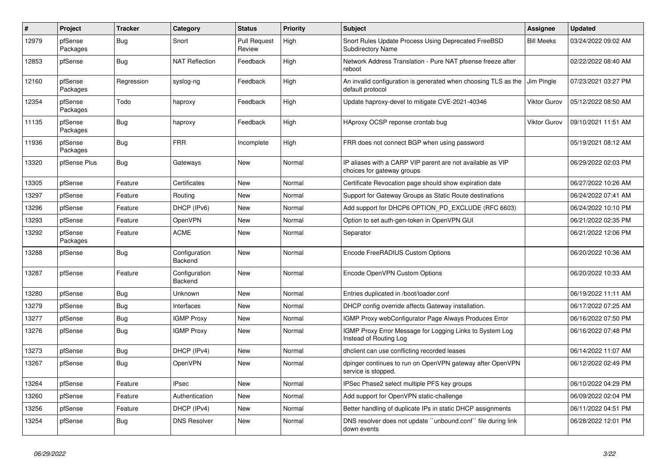| $\vert$ # | Project             | <b>Tracker</b> | Category                 | <b>Status</b>                 | <b>Priority</b> | <b>Subject</b>                                                                           | <b>Assignee</b>     | <b>Updated</b>      |
|-----------|---------------------|----------------|--------------------------|-------------------------------|-----------------|------------------------------------------------------------------------------------------|---------------------|---------------------|
| 12979     | pfSense<br>Packages | Bug            | Snort                    | <b>Pull Request</b><br>Review | High            | Snort Rules Update Process Using Deprecated FreeBSD<br><b>Subdirectory Name</b>          | <b>Bill Meeks</b>   | 03/24/2022 09:02 AM |
| 12853     | pfSense             | Bug            | <b>NAT Reflection</b>    | Feedback                      | High            | Network Address Translation - Pure NAT pfsense freeze after<br>reboot                    |                     | 02/22/2022 08:40 AM |
| 12160     | pfSense<br>Packages | Regression     | syslog-ng                | Feedback                      | High            | An invalid configuration is generated when choosing TLS as the<br>default protocol       | Jim Pingle          | 07/23/2021 03:27 PM |
| 12354     | pfSense<br>Packages | Todo           | haproxy                  | Feedback                      | High            | Update haproxy-devel to mitigate CVE-2021-40346                                          | <b>Viktor Gurov</b> | 05/12/2022 08:50 AM |
| 11135     | pfSense<br>Packages | Bug            | haproxy                  | Feedback                      | High            | HAproxy OCSP reponse crontab bug                                                         | <b>Viktor Gurov</b> | 09/10/2021 11:51 AM |
| 11936     | pfSense<br>Packages | Bug            | <b>FRR</b>               | Incomplete                    | High            | FRR does not connect BGP when using password                                             |                     | 05/19/2021 08:12 AM |
| 13320     | pfSense Plus        | Bug            | Gateways                 | <b>New</b>                    | Normal          | IP aliases with a CARP VIP parent are not available as VIP<br>choices for gateway groups |                     | 06/29/2022 02:03 PM |
| 13305     | pfSense             | Feature        | Certificates             | <b>New</b>                    | Normal          | Certificate Revocation page should show expiration date                                  |                     | 06/27/2022 10:26 AM |
| 13297     | pfSense             | Feature        | Routing                  | <b>New</b>                    | Normal          | Support for Gateway Groups as Static Route destinations                                  |                     | 06/24/2022 07:41 AM |
| 13296     | pfSense             | Feature        | DHCP (IPv6)              | New                           | Normal          | Add support for DHCP6 OPTION PD EXCLUDE (RFC 6603)                                       |                     | 06/24/2022 10:10 PM |
| 13293     | pfSense             | Feature        | OpenVPN                  | New                           | Normal          | Option to set auth-gen-token in OpenVPN GUI                                              |                     | 06/21/2022 02:35 PM |
| 13292     | pfSense<br>Packages | Feature        | <b>ACME</b>              | <b>New</b>                    | Normal          | Separator                                                                                |                     | 06/21/2022 12:06 PM |
| 13288     | pfSense             | <b>Bug</b>     | Configuration<br>Backend | <b>New</b>                    | Normal          | Encode FreeRADIUS Custom Options                                                         |                     | 06/20/2022 10:36 AM |
| 13287     | pfSense             | Feature        | Configuration<br>Backend | <b>New</b>                    | Normal          | Encode OpenVPN Custom Options                                                            |                     | 06/20/2022 10:33 AM |
| 13280     | pfSense             | Bug            | Unknown                  | <b>New</b>                    | Normal          | Entries duplicated in /boot/loader.conf                                                  |                     | 06/19/2022 11:11 AM |
| 13279     | pfSense             | <b>Bug</b>     | Interfaces               | <b>New</b>                    | Normal          | DHCP config override affects Gateway installation.                                       |                     | 06/17/2022 07:25 AM |
| 13277     | pfSense             | <b>Bug</b>     | <b>IGMP Proxy</b>        | New                           | Normal          | IGMP Proxy webConfigurator Page Always Produces Error                                    |                     | 06/16/2022 07:50 PM |
| 13276     | pfSense             | Bug            | <b>IGMP Proxy</b>        | <b>New</b>                    | Normal          | IGMP Proxy Error Message for Logging Links to System Log<br>Instead of Routing Log       |                     | 06/16/2022 07:48 PM |
| 13273     | pfSense             | <b>Bug</b>     | DHCP (IPv4)              | New                           | Normal          | dholient can use conflicting recorded leases                                             |                     | 06/14/2022 11:07 AM |
| 13267     | pfSense             | <b>Bug</b>     | OpenVPN                  | <b>New</b>                    | Normal          | dpinger continues to run on OpenVPN gateway after OpenVPN<br>service is stopped.         |                     | 06/12/2022 02:49 PM |
| 13264     | pfSense             | Feature        | <b>IPsec</b>             | <b>New</b>                    | Normal          | IPSec Phase2 select multiple PFS key groups                                              |                     | 06/10/2022 04:29 PM |
| 13260     | pfSense             | Feature        | Authentication           | <b>New</b>                    | Normal          | Add support for OpenVPN static-challenge                                                 |                     | 06/09/2022 02:04 PM |
| 13256     | pfSense             | Feature        | DHCP (IPv4)              | <b>New</b>                    | Normal          | Better handling of duplicate IPs in static DHCP assignments                              |                     | 06/11/2022 04:51 PM |
| 13254     | pfSense             | Bug            | <b>DNS Resolver</b>      | <b>New</b>                    | Normal          | DNS resolver does not update "unbound.conf" file during link<br>down events              |                     | 06/28/2022 12:01 PM |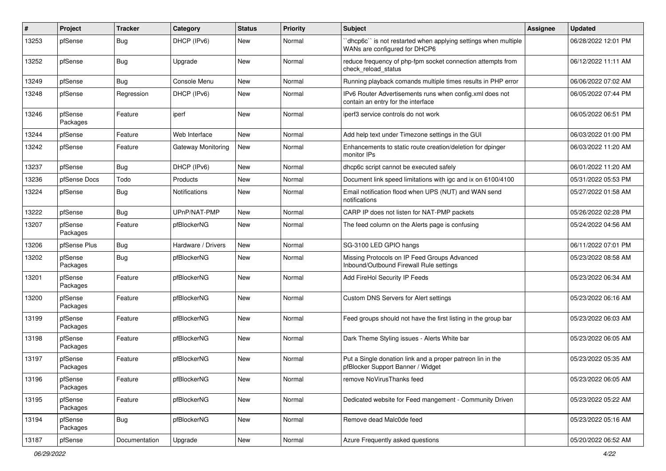| ∦     | Project             | <b>Tracker</b> | Category             | <b>Status</b> | <b>Priority</b> | <b>Subject</b>                                                                                  | Assignee | <b>Updated</b>      |
|-------|---------------------|----------------|----------------------|---------------|-----------------|-------------------------------------------------------------------------------------------------|----------|---------------------|
| 13253 | pfSense             | <b>Bug</b>     | DHCP (IPv6)          | <b>New</b>    | Normal          | 'dhcp6c' is not restarted when applying settings when multiple<br>WANs are configured for DHCP6 |          | 06/28/2022 12:01 PM |
| 13252 | pfSense             | Bug            | Upgrade              | <b>New</b>    | Normal          | reduce frequency of php-fpm socket connection attempts from<br>check reload status              |          | 06/12/2022 11:11 AM |
| 13249 | pfSense             | Bug            | Console Menu         | <b>New</b>    | Normal          | Running playback comands multiple times results in PHP error                                    |          | 06/06/2022 07:02 AM |
| 13248 | pfSense             | Regression     | DHCP (IPv6)          | <b>New</b>    | Normal          | IPv6 Router Advertisements runs when config.xml does not<br>contain an entry for the interface  |          | 06/05/2022 07:44 PM |
| 13246 | pfSense<br>Packages | Feature        | iperf                | <b>New</b>    | Normal          | iperf3 service controls do not work                                                             |          | 06/05/2022 06:51 PM |
| 13244 | pfSense             | Feature        | Web Interface        | New           | Normal          | Add help text under Timezone settings in the GUI                                                |          | 06/03/2022 01:00 PM |
| 13242 | pfSense             | Feature        | Gateway Monitoring   | New           | Normal          | Enhancements to static route creation/deletion for dpinger<br>monitor IPs                       |          | 06/03/2022 11:20 AM |
| 13237 | pfSense             | Bug            | DHCP (IPv6)          | <b>New</b>    | Normal          | dhcp6c script cannot be executed safely                                                         |          | 06/01/2022 11:20 AM |
| 13236 | pfSense Docs        | Todo           | Products             | New           | Normal          | Document link speed limitations with igc and ix on 6100/4100                                    |          | 05/31/2022 05:53 PM |
| 13224 | pfSense             | Bug            | <b>Notifications</b> | <b>New</b>    | Normal          | Email notification flood when UPS (NUT) and WAN send<br>notifications                           |          | 05/27/2022 01:58 AM |
| 13222 | pfSense             | Bug            | UPnP/NAT-PMP         | New           | Normal          | CARP IP does not listen for NAT-PMP packets                                                     |          | 05/26/2022 02:28 PM |
| 13207 | pfSense<br>Packages | Feature        | pfBlockerNG          | New           | Normal          | The feed column on the Alerts page is confusing                                                 |          | 05/24/2022 04:56 AM |
| 13206 | pfSense Plus        | Bug            | Hardware / Drivers   | <b>New</b>    | Normal          | SG-3100 LED GPIO hangs                                                                          |          | 06/11/2022 07:01 PM |
| 13202 | pfSense<br>Packages | Bug            | pfBlockerNG          | New           | Normal          | Missing Protocols on IP Feed Groups Advanced<br>Inbound/Outbound Firewall Rule settings         |          | 05/23/2022 08:58 AM |
| 13201 | pfSense<br>Packages | Feature        | pfBlockerNG          | New           | Normal          | Add FireHol Security IP Feeds                                                                   |          | 05/23/2022 06:34 AM |
| 13200 | pfSense<br>Packages | Feature        | pfBlockerNG          | <b>New</b>    | Normal          | Custom DNS Servers for Alert settings                                                           |          | 05/23/2022 06:16 AM |
| 13199 | pfSense<br>Packages | Feature        | pfBlockerNG          | <b>New</b>    | Normal          | Feed groups should not have the first listing in the group bar                                  |          | 05/23/2022 06:03 AM |
| 13198 | pfSense<br>Packages | Feature        | pfBlockerNG          | New           | Normal          | Dark Theme Styling issues - Alerts White bar                                                    |          | 05/23/2022 06:05 AM |
| 13197 | pfSense<br>Packages | Feature        | pfBlockerNG          | New           | Normal          | Put a Single donation link and a proper patreon lin in the<br>pfBlocker Support Banner / Widget |          | 05/23/2022 05:35 AM |
| 13196 | pfSense<br>Packages | Feature        | pfBlockerNG          | New           | Normal          | remove NoVirusThanks feed                                                                       |          | 05/23/2022 06:05 AM |
| 13195 | pfSense<br>Packages | Feature        | pfBlockerNG          | New           | Normal          | Dedicated website for Feed mangement - Community Driven                                         |          | 05/23/2022 05:22 AM |
| 13194 | pfSense<br>Packages | <b>Bug</b>     | pfBlockerNG          | New           | Normal          | Remove dead Malc0de feed                                                                        |          | 05/23/2022 05:16 AM |
| 13187 | pfSense             | Documentation  | Upgrade              | New           | Normal          | Azure Frequently asked questions                                                                |          | 05/20/2022 06:52 AM |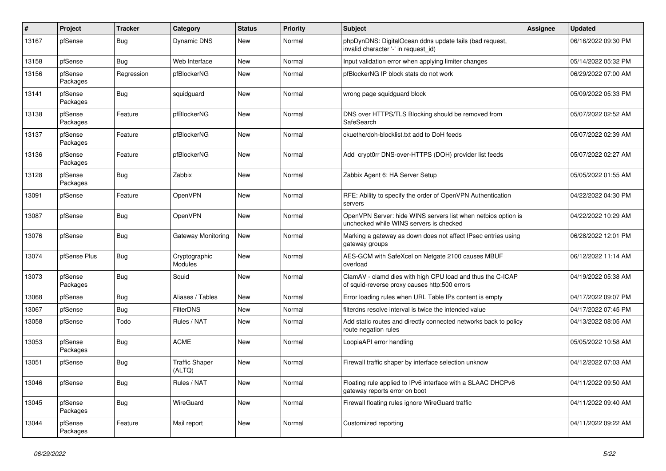| $\vert$ # | Project             | <b>Tracker</b> | Category                        | <b>Status</b> | <b>Priority</b> | <b>Subject</b>                                                                                              | <b>Assignee</b> | <b>Updated</b>      |
|-----------|---------------------|----------------|---------------------------------|---------------|-----------------|-------------------------------------------------------------------------------------------------------------|-----------------|---------------------|
| 13167     | pfSense             | Bug            | <b>Dynamic DNS</b>              | <b>New</b>    | Normal          | phpDynDNS: DigitalOcean ddns update fails (bad request,<br>invalid character '-' in request_id)             |                 | 06/16/2022 09:30 PM |
| 13158     | pfSense             | Bug            | Web Interface                   | <b>New</b>    | Normal          | Input validation error when applying limiter changes                                                        |                 | 05/14/2022 05:32 PM |
| 13156     | pfSense<br>Packages | Regression     | pfBlockerNG                     | <b>New</b>    | Normal          | pfBlockerNG IP block stats do not work                                                                      |                 | 06/29/2022 07:00 AM |
| 13141     | pfSense<br>Packages | Bug            | squidguard                      | <b>New</b>    | Normal          | wrong page squidguard block                                                                                 |                 | 05/09/2022 05:33 PM |
| 13138     | pfSense<br>Packages | Feature        | pfBlockerNG                     | <b>New</b>    | Normal          | DNS over HTTPS/TLS Blocking should be removed from<br>SafeSearch                                            |                 | 05/07/2022 02:52 AM |
| 13137     | pfSense<br>Packages | Feature        | pfBlockerNG                     | <b>New</b>    | Normal          | ckuethe/doh-blocklist.txt add to DoH feeds                                                                  |                 | 05/07/2022 02:39 AM |
| 13136     | pfSense<br>Packages | Feature        | pfBlockerNG                     | <b>New</b>    | Normal          | Add crypt0rr DNS-over-HTTPS (DOH) provider list feeds                                                       |                 | 05/07/2022 02:27 AM |
| 13128     | pfSense<br>Packages | <b>Bug</b>     | Zabbix                          | New           | Normal          | Zabbix Agent 6: HA Server Setup                                                                             |                 | 05/05/2022 01:55 AM |
| 13091     | pfSense             | Feature        | OpenVPN                         | <b>New</b>    | Normal          | RFE: Ability to specify the order of OpenVPN Authentication<br>servers                                      |                 | 04/22/2022 04:30 PM |
| 13087     | pfSense             | Bug            | OpenVPN                         | <b>New</b>    | Normal          | OpenVPN Server: hide WINS servers list when netbios option is<br>unchecked while WINS servers is checked    |                 | 04/22/2022 10:29 AM |
| 13076     | pfSense             | <b>Bug</b>     | Gateway Monitoring              | <b>New</b>    | Normal          | Marking a gateway as down does not affect IPsec entries using<br>gateway groups                             |                 | 06/28/2022 12:01 PM |
| 13074     | pfSense Plus        | Bug            | Cryptographic<br>Modules        | <b>New</b>    | Normal          | AES-GCM with SafeXcel on Netgate 2100 causes MBUF<br>overload                                               |                 | 06/12/2022 11:14 AM |
| 13073     | pfSense<br>Packages | Bug            | Squid                           | <b>New</b>    | Normal          | ClamAV - clamd dies with high CPU load and thus the C-ICAP<br>of squid-reverse proxy causes http:500 errors |                 | 04/19/2022 05:38 AM |
| 13068     | pfSense             | <b>Bug</b>     | Aliases / Tables                | <b>New</b>    | Normal          | Error loading rules when URL Table IPs content is empty                                                     |                 | 04/17/2022 09:07 PM |
| 13067     | pfSense             | Bug            | <b>FilterDNS</b>                | <b>New</b>    | Normal          | filterdns resolve interval is twice the intended value                                                      |                 | 04/17/2022 07:45 PM |
| 13058     | pfSense             | Todo           | Rules / NAT                     | <b>New</b>    | Normal          | Add static routes and directly connected networks back to policy<br>route negation rules                    |                 | 04/13/2022 08:05 AM |
| 13053     | pfSense<br>Packages | Bug            | <b>ACME</b>                     | <b>New</b>    | Normal          | LoopiaAPI error handling                                                                                    |                 | 05/05/2022 10:58 AM |
| 13051     | pfSense             | Bug            | <b>Traffic Shaper</b><br>(ALTQ) | <b>New</b>    | Normal          | Firewall traffic shaper by interface selection unknow                                                       |                 | 04/12/2022 07:03 AM |
| 13046     | pfSense             | <b>Bug</b>     | Rules / NAT                     | <b>New</b>    | Normal          | Floating rule applied to IPv6 interface with a SLAAC DHCPv6<br>gateway reports error on boot                |                 | 04/11/2022 09:50 AM |
| 13045     | pfSense<br>Packages | Bug            | <b>WireGuard</b>                | <b>New</b>    | Normal          | Firewall floating rules ignore WireGuard traffic                                                            |                 | 04/11/2022 09:40 AM |
| 13044     | pfSense<br>Packages | Feature        | Mail report                     | <b>New</b>    | Normal          | Customized reporting                                                                                        |                 | 04/11/2022 09:22 AM |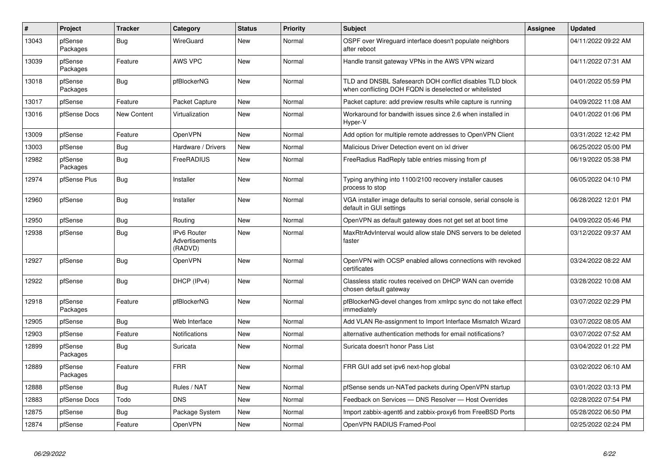| $\vert$ # | Project             | <b>Tracker</b> | Category                                        | <b>Status</b> | <b>Priority</b> | <b>Subject</b>                                                                                                     | Assignee | <b>Updated</b>      |
|-----------|---------------------|----------------|-------------------------------------------------|---------------|-----------------|--------------------------------------------------------------------------------------------------------------------|----------|---------------------|
| 13043     | pfSense<br>Packages | Bug            | <b>WireGuard</b>                                | <b>New</b>    | Normal          | OSPF over Wireguard interface doesn't populate neighbors<br>after reboot                                           |          | 04/11/2022 09:22 AM |
| 13039     | pfSense<br>Packages | Feature        | AWS VPC                                         | New           | Normal          | Handle transit gateway VPNs in the AWS VPN wizard                                                                  |          | 04/11/2022 07:31 AM |
| 13018     | pfSense<br>Packages | Bug            | pfBlockerNG                                     | <b>New</b>    | Normal          | TLD and DNSBL Safesearch DOH conflict disables TLD block<br>when conflicting DOH FQDN is deselected or whitelisted |          | 04/01/2022 05:59 PM |
| 13017     | pfSense             | Feature        | Packet Capture                                  | <b>New</b>    | Normal          | Packet capture: add preview results while capture is running                                                       |          | 04/09/2022 11:08 AM |
| 13016     | pfSense Docs        | New Content    | Virtualization                                  | New           | Normal          | Workaround for bandwith issues since 2.6 when installed in<br>Hyper-V                                              |          | 04/01/2022 01:06 PM |
| 13009     | pfSense             | Feature        | OpenVPN                                         | <b>New</b>    | Normal          | Add option for multiple remote addresses to OpenVPN Client                                                         |          | 03/31/2022 12:42 PM |
| 13003     | pfSense             | <b>Bug</b>     | Hardware / Drivers                              | <b>New</b>    | Normal          | Malicious Driver Detection event on ixl driver                                                                     |          | 06/25/2022 05:00 PM |
| 12982     | pfSense<br>Packages | Bug            | FreeRADIUS                                      | New           | Normal          | FreeRadius RadReply table entries missing from pf                                                                  |          | 06/19/2022 05:38 PM |
| 12974     | pfSense Plus        | Bug            | Installer                                       | <b>New</b>    | Normal          | Typing anything into 1100/2100 recovery installer causes<br>process to stop                                        |          | 06/05/2022 04:10 PM |
| 12960     | pfSense             | Bug            | Installer                                       | <b>New</b>    | Normal          | VGA installer image defaults to serial console, serial console is<br>default in GUI settings                       |          | 06/28/2022 12:01 PM |
| 12950     | pfSense             | Bug            | Routing                                         | <b>New</b>    | Normal          | OpenVPN as default gateway does not get set at boot time                                                           |          | 04/09/2022 05:46 PM |
| 12938     | pfSense             | Bug            | <b>IPv6 Router</b><br>Advertisements<br>(RADVD) | <b>New</b>    | Normal          | MaxRtrAdvInterval would allow stale DNS servers to be deleted<br>faster                                            |          | 03/12/2022 09:37 AM |
| 12927     | pfSense             | Bug            | OpenVPN                                         | <b>New</b>    | Normal          | OpenVPN with OCSP enabled allows connections with revoked<br>certificates                                          |          | 03/24/2022 08:22 AM |
| 12922     | pfSense             | Bug            | DHCP (IPv4)                                     | <b>New</b>    | Normal          | Classless static routes received on DHCP WAN can override<br>chosen default gateway                                |          | 03/28/2022 10:08 AM |
| 12918     | pfSense<br>Packages | Feature        | pfBlockerNG                                     | <b>New</b>    | Normal          | pfBlockerNG-devel changes from xmlrpc sync do not take effect<br>immediately                                       |          | 03/07/2022 02:29 PM |
| 12905     | pfSense             | Bug            | Web Interface                                   | <b>New</b>    | Normal          | Add VLAN Re-assignment to Import Interface Mismatch Wizard                                                         |          | 03/07/2022 08:05 AM |
| 12903     | pfSense             | Feature        | <b>Notifications</b>                            | New           | Normal          | alternative authentication methods for email notifications?                                                        |          | 03/07/2022 07:52 AM |
| 12899     | pfSense<br>Packages | <b>Bug</b>     | Suricata                                        | <b>New</b>    | Normal          | Suricata doesn't honor Pass List                                                                                   |          | 03/04/2022 01:22 PM |
| 12889     | pfSense<br>Packages | Feature        | <b>FRR</b>                                      | <b>New</b>    | Normal          | FRR GUI add set ipv6 next-hop global                                                                               |          | 03/02/2022 06:10 AM |
| 12888     | pfSense             | <b>Bug</b>     | Rules / NAT                                     | <b>New</b>    | Normal          | pfSense sends un-NATed packets during OpenVPN startup                                                              |          | 03/01/2022 03:13 PM |
| 12883     | pfSense Docs        | Todo           | <b>DNS</b>                                      | New           | Normal          | Feedback on Services - DNS Resolver - Host Overrides                                                               |          | 02/28/2022 07:54 PM |
| 12875     | pfSense             | <b>Bug</b>     | Package System                                  | <b>New</b>    | Normal          | Import zabbix-agent6 and zabbix-proxy6 from FreeBSD Ports                                                          |          | 05/28/2022 06:50 PM |
| 12874     | pfSense             | Feature        | <b>OpenVPN</b>                                  | New           | Normal          | OpenVPN RADIUS Framed-Pool                                                                                         |          | 02/25/2022 02:24 PM |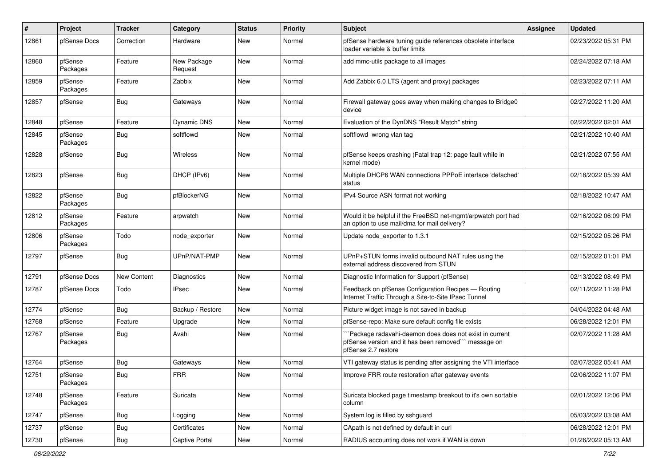| #     | Project             | <b>Tracker</b>   | Category               | <b>Status</b> | <b>Priority</b> | <b>Subject</b>                                                                                                                         | Assignee | <b>Updated</b>      |
|-------|---------------------|------------------|------------------------|---------------|-----------------|----------------------------------------------------------------------------------------------------------------------------------------|----------|---------------------|
| 12861 | pfSense Docs        | Correction       | Hardware               | <b>New</b>    | Normal          | pfSense hardware tuning guide references obsolete interface<br>loader variable & buffer limits                                         |          | 02/23/2022 05:31 PM |
| 12860 | pfSense<br>Packages | Feature          | New Package<br>Request | <b>New</b>    | Normal          | add mmc-utils package to all images                                                                                                    |          | 02/24/2022 07:18 AM |
| 12859 | pfSense<br>Packages | Feature          | Zabbix                 | New           | Normal          | Add Zabbix 6.0 LTS (agent and proxy) packages                                                                                          |          | 02/23/2022 07:11 AM |
| 12857 | pfSense             | Bug              | Gateways               | New           | Normal          | Firewall gateway goes away when making changes to Bridge0<br>device                                                                    |          | 02/27/2022 11:20 AM |
| 12848 | pfSense             | Feature          | <b>Dynamic DNS</b>     | <b>New</b>    | Normal          | Evaluation of the DynDNS "Result Match" string                                                                                         |          | 02/22/2022 02:01 AM |
| 12845 | pfSense<br>Packages | Bug              | softflowd              | <b>New</b>    | Normal          | softflowd wrong vlan tag                                                                                                               |          | 02/21/2022 10:40 AM |
| 12828 | pfSense             | Bug              | <b>Wireless</b>        | <b>New</b>    | Normal          | pfSense keeps crashing (Fatal trap 12: page fault while in<br>kernel mode)                                                             |          | 02/21/2022 07:55 AM |
| 12823 | pfSense             | <b>Bug</b>       | DHCP (IPv6)            | New           | Normal          | Multiple DHCP6 WAN connections PPPoE interface 'defached'<br>status                                                                    |          | 02/18/2022 05:39 AM |
| 12822 | pfSense<br>Packages | <b>Bug</b>       | pfBlockerNG            | New           | Normal          | IPv4 Source ASN format not working                                                                                                     |          | 02/18/2022 10:47 AM |
| 12812 | pfSense<br>Packages | Feature          | arpwatch               | New           | Normal          | Would it be helpful if the FreeBSD net-mgmt/arpwatch port had<br>an option to use mail/dma for mail delivery?                          |          | 02/16/2022 06:09 PM |
| 12806 | pfSense<br>Packages | Todo             | node exporter          | <b>New</b>    | Normal          | Update node_exporter to 1.3.1                                                                                                          |          | 02/15/2022 05:26 PM |
| 12797 | pfSense             | Bug              | UPnP/NAT-PMP           | New           | Normal          | UPnP+STUN forms invalid outbound NAT rules using the<br>external address discovered from STUN                                          |          | 02/15/2022 01:01 PM |
| 12791 | pfSense Docs        | New Content      | <b>Diagnostics</b>     | New           | Normal          | Diagnostic Information for Support (pfSense)                                                                                           |          | 02/13/2022 08:49 PM |
| 12787 | pfSense Docs        | Todo             | <b>IPsec</b>           | New           | Normal          | Feedback on pfSense Configuration Recipes - Routing<br>Internet Traffic Through a Site-to-Site IPsec Tunnel                            |          | 02/11/2022 11:28 PM |
| 12774 | pfSense             | Bug              | Backup / Restore       | <b>New</b>    | Normal          | Picture widget image is not saved in backup                                                                                            |          | 04/04/2022 04:48 AM |
| 12768 | pfSense             | Feature          | Upgrade                | New           | Normal          | pfSense-repo: Make sure default config file exists                                                                                     |          | 06/28/2022 12:01 PM |
| 12767 | pfSense<br>Packages | Bug              | Avahi                  | New           | Normal          | 'Package radavahi-daemon does does not exist in current<br>pfSense version and it has been removed"" message on<br>pfSense 2.7 restore |          | 02/07/2022 11:28 AM |
| 12764 | pfSense             | <b>Bug</b>       | Gateways               | New           | Normal          | VTI gateway status is pending after assigning the VTI interface                                                                        |          | 02/07/2022 05:41 AM |
| 12751 | pfSense<br>Packages | <sub>I</sub> Bug | <b>FRR</b>             | New           | Normal          | Improve FRR route restoration after gateway events                                                                                     |          | 02/06/2022 11:07 PM |
| 12748 | pfSense<br>Packages | Feature          | Suricata               | New           | Normal          | Suricata blocked page timestamp breakout to it's own sortable<br>column                                                                |          | 02/01/2022 12:06 PM |
| 12747 | pfSense             | <b>Bug</b>       | Logging                | New           | Normal          | System log is filled by sshguard                                                                                                       |          | 05/03/2022 03:08 AM |
| 12737 | pfSense             | <b>Bug</b>       | Certificates           | New           | Normal          | CApath is not defined by default in curl                                                                                               |          | 06/28/2022 12:01 PM |
| 12730 | pfSense             | Bug              | Captive Portal         | New           | Normal          | RADIUS accounting does not work if WAN is down                                                                                         |          | 01/26/2022 05:13 AM |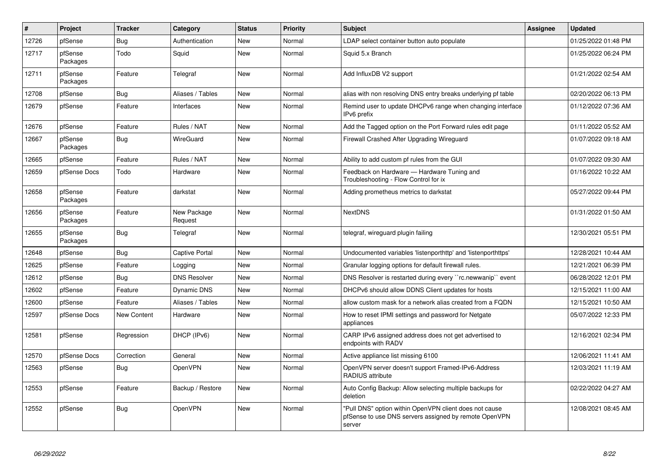| $\vert$ # | Project             | <b>Tracker</b> | Category               | <b>Status</b> | Priority | <b>Subject</b>                                                                                                            | <b>Assignee</b> | <b>Updated</b>      |
|-----------|---------------------|----------------|------------------------|---------------|----------|---------------------------------------------------------------------------------------------------------------------------|-----------------|---------------------|
| 12726     | pfSense             | Bug            | Authentication         | New           | Normal   | LDAP select container button auto populate                                                                                |                 | 01/25/2022 01:48 PM |
| 12717     | pfSense<br>Packages | Todo           | Squid                  | <b>New</b>    | Normal   | Squid 5.x Branch                                                                                                          |                 | 01/25/2022 06:24 PM |
| 12711     | pfSense<br>Packages | Feature        | Telegraf               | <b>New</b>    | Normal   | Add InfluxDB V2 support                                                                                                   |                 | 01/21/2022 02:54 AM |
| 12708     | pfSense             | <b>Bug</b>     | Aliases / Tables       | <b>New</b>    | Normal   | alias with non resolving DNS entry breaks underlying pf table                                                             |                 | 02/20/2022 06:13 PM |
| 12679     | pfSense             | Feature        | Interfaces             | <b>New</b>    | Normal   | Remind user to update DHCPv6 range when changing interface<br>IPv6 prefix                                                 |                 | 01/12/2022 07:36 AM |
| 12676     | pfSense             | Feature        | Rules / NAT            | New           | Normal   | Add the Tagged option on the Port Forward rules edit page                                                                 |                 | 01/11/2022 05:52 AM |
| 12667     | pfSense<br>Packages | Bug            | WireGuard              | <b>New</b>    | Normal   | Firewall Crashed After Upgrading Wireguard                                                                                |                 | 01/07/2022 09:18 AM |
| 12665     | pfSense             | Feature        | Rules / NAT            | <b>New</b>    | Normal   | Ability to add custom pf rules from the GUI                                                                               |                 | 01/07/2022 09:30 AM |
| 12659     | pfSense Docs        | Todo           | Hardware               | New           | Normal   | Feedback on Hardware - Hardware Tuning and<br>Troubleshooting - Flow Control for ix                                       |                 | 01/16/2022 10:22 AM |
| 12658     | pfSense<br>Packages | Feature        | darkstat               | <b>New</b>    | Normal   | Adding prometheus metrics to darkstat                                                                                     |                 | 05/27/2022 09:44 PM |
| 12656     | pfSense<br>Packages | Feature        | New Package<br>Request | <b>New</b>    | Normal   | <b>NextDNS</b>                                                                                                            |                 | 01/31/2022 01:50 AM |
| 12655     | pfSense<br>Packages | Bug            | Telegraf               | <b>New</b>    | Normal   | telegraf, wireguard plugin failing                                                                                        |                 | 12/30/2021 05:51 PM |
| 12648     | pfSense             | Bug            | <b>Captive Portal</b>  | <b>New</b>    | Normal   | Undocumented variables 'listenporthttp' and 'listenporthttps'                                                             |                 | 12/28/2021 10:44 AM |
| 12625     | pfSense             | Feature        | Logging                | <b>New</b>    | Normal   | Granular logging options for default firewall rules.                                                                      |                 | 12/21/2021 06:39 PM |
| 12612     | pfSense             | Bug            | <b>DNS Resolver</b>    | <b>New</b>    | Normal   | DNS Resolver is restarted during every "rc.newwanip" event                                                                |                 | 06/28/2022 12:01 PM |
| 12602     | pfSense             | Feature        | <b>Dynamic DNS</b>     | <b>New</b>    | Normal   | DHCPv6 should allow DDNS Client updates for hosts                                                                         |                 | 12/15/2021 11:00 AM |
| 12600     | pfSense             | Feature        | Aliases / Tables       | <b>New</b>    | Normal   | allow custom mask for a network alias created from a FQDN                                                                 |                 | 12/15/2021 10:50 AM |
| 12597     | pfSense Docs        | New Content    | Hardware               | New           | Normal   | How to reset IPMI settings and password for Netgate<br>appliances                                                         |                 | 05/07/2022 12:33 PM |
| 12581     | pfSense             | Regression     | DHCP (IPv6)            | <b>New</b>    | Normal   | CARP IPv6 assigned address does not get advertised to<br>endpoints with RADV                                              |                 | 12/16/2021 02:34 PM |
| 12570     | pfSense Docs        | Correction     | General                | <b>New</b>    | Normal   | Active appliance list missing 6100                                                                                        |                 | 12/06/2021 11:41 AM |
| 12563     | pfSense             | <b>Bug</b>     | OpenVPN                | <b>New</b>    | Normal   | OpenVPN server doesn't support Framed-IPv6-Address<br><b>RADIUS attribute</b>                                             |                 | 12/03/2021 11:19 AM |
| 12553     | pfSense             | Feature        | Backup / Restore       | <b>New</b>    | Normal   | Auto Config Backup: Allow selecting multiple backups for<br>deletion                                                      |                 | 02/22/2022 04:27 AM |
| 12552     | pfSense             | <b>Bug</b>     | OpenVPN                | <b>New</b>    | Normal   | "Pull DNS" option within OpenVPN client does not cause<br>pfSense to use DNS servers assigned by remote OpenVPN<br>server |                 | 12/08/2021 08:45 AM |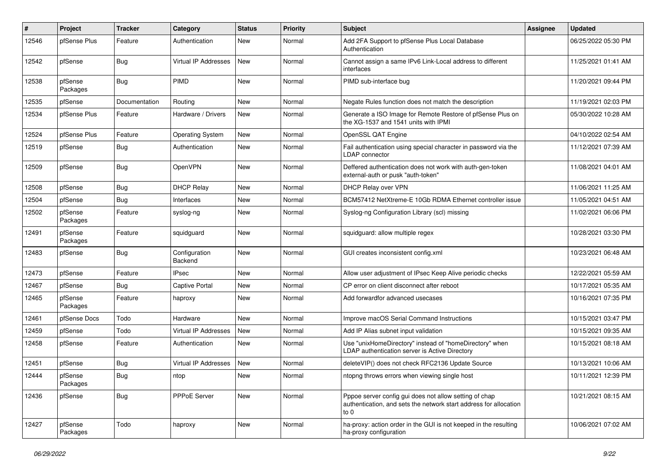| #     | Project             | <b>Tracker</b> | Category                 | <b>Status</b> | <b>Priority</b> | Subject                                                                                                                             | <b>Assignee</b> | <b>Updated</b>      |
|-------|---------------------|----------------|--------------------------|---------------|-----------------|-------------------------------------------------------------------------------------------------------------------------------------|-----------------|---------------------|
| 12546 | pfSense Plus        | Feature        | Authentication           | <b>New</b>    | Normal          | Add 2FA Support to pfSense Plus Local Database<br>Authentication                                                                    |                 | 06/25/2022 05:30 PM |
| 12542 | pfSense             | <b>Bug</b>     | Virtual IP Addresses     | <b>New</b>    | Normal          | Cannot assign a same IPv6 Link-Local address to different<br>interfaces                                                             |                 | 11/25/2021 01:41 AM |
| 12538 | pfSense<br>Packages | Bug            | PIMD                     | <b>New</b>    | Normal          | PIMD sub-interface bug                                                                                                              |                 | 11/20/2021 09:44 PM |
| 12535 | pfSense             | Documentation  | Routing                  | <b>New</b>    | Normal          | Negate Rules function does not match the description                                                                                |                 | 11/19/2021 02:03 PM |
| 12534 | pfSense Plus        | Feature        | Hardware / Drivers       | New           | Normal          | Generate a ISO Image for Remote Restore of pfSense Plus on<br>the XG-1537 and 1541 units with IPMI                                  |                 | 05/30/2022 10:28 AM |
| 12524 | pfSense Plus        | Feature        | <b>Operating System</b>  | New           | Normal          | OpenSSL QAT Engine                                                                                                                  |                 | 04/10/2022 02:54 AM |
| 12519 | pfSense             | <b>Bug</b>     | Authentication           | New           | Normal          | Fail authentication using special character in password via the<br>LDAP connector                                                   |                 | 11/12/2021 07:39 AM |
| 12509 | pfSense             | Bug            | OpenVPN                  | <b>New</b>    | Normal          | Deffered authentication does not work with auth-gen-token<br>external-auth or pusk "auth-token"                                     |                 | 11/08/2021 04:01 AM |
| 12508 | pfSense             | Bug            | <b>DHCP Relay</b>        | New           | Normal          | <b>DHCP Relay over VPN</b>                                                                                                          |                 | 11/06/2021 11:25 AM |
| 12504 | pfSense             | Bug            | Interfaces               | New           | Normal          | BCM57412 NetXtreme-E 10Gb RDMA Ethernet controller issue                                                                            |                 | 11/05/2021 04:51 AM |
| 12502 | pfSense<br>Packages | Feature        | syslog-ng                | New           | Normal          | Syslog-ng Configuration Library (scl) missing                                                                                       |                 | 11/02/2021 06:06 PM |
| 12491 | pfSense<br>Packages | Feature        | squidguard               | New           | Normal          | squidguard: allow multiple regex                                                                                                    |                 | 10/28/2021 03:30 PM |
| 12483 | pfSense             | Bug            | Configuration<br>Backend | New           | Normal          | GUI creates inconsistent config.xml                                                                                                 |                 | 10/23/2021 06:48 AM |
| 12473 | pfSense             | Feature        | <b>IPsec</b>             | New           | Normal          | Allow user adjustment of IPsec Keep Alive periodic checks                                                                           |                 | 12/22/2021 05:59 AM |
| 12467 | pfSense             | Bug            | <b>Captive Portal</b>    | <b>New</b>    | Normal          | CP error on client disconnect after reboot                                                                                          |                 | 10/17/2021 05:35 AM |
| 12465 | pfSense<br>Packages | Feature        | haproxy                  | New           | Normal          | Add forwardfor advanced usecases                                                                                                    |                 | 10/16/2021 07:35 PM |
| 12461 | pfSense Docs        | Todo           | Hardware                 | <b>New</b>    | Normal          | Improve macOS Serial Command Instructions                                                                                           |                 | 10/15/2021 03:47 PM |
| 12459 | pfSense             | Todo           | Virtual IP Addresses     | <b>New</b>    | Normal          | Add IP Alias subnet input validation                                                                                                |                 | 10/15/2021 09:35 AM |
| 12458 | pfSense             | Feature        | Authentication           | New           | Normal          | Use "unixHomeDirectory" instead of "homeDirectory" when<br>LDAP authentication server is Active Directory                           |                 | 10/15/2021 08:18 AM |
| 12451 | pfSense             | <b>Bug</b>     | Virtual IP Addresses     | <b>New</b>    | Normal          | deleteVIP() does not check RFC2136 Update Source                                                                                    |                 | 10/13/2021 10:06 AM |
| 12444 | pfSense<br>Packages | I Bug          | ntop                     | New           | Normal          | ntopng throws errors when viewing single host                                                                                       |                 | 10/11/2021 12:39 PM |
| 12436 | pfSense             | Bug            | PPPoE Server             | New           | Normal          | Pppoe server config gui does not allow setting of chap<br>authentication, and sets the network start address for allocation<br>to 0 |                 | 10/21/2021 08:15 AM |
| 12427 | pfSense<br>Packages | Todo           | haproxy                  | New           | Normal          | ha-proxy: action order in the GUI is not keeped in the resulting<br>ha-proxy configuration                                          |                 | 10/06/2021 07:02 AM |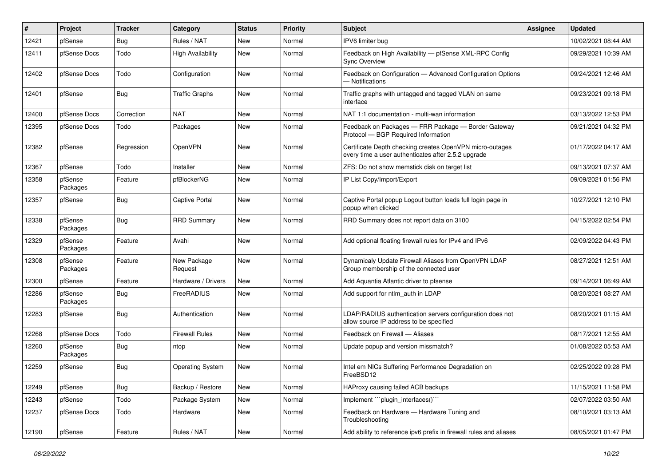| #     | Project             | <b>Tracker</b> | Category                 | <b>Status</b> | <b>Priority</b> | <b>Subject</b>                                                                                                  | <b>Assignee</b> | <b>Updated</b>      |
|-------|---------------------|----------------|--------------------------|---------------|-----------------|-----------------------------------------------------------------------------------------------------------------|-----------------|---------------------|
| 12421 | pfSense             | Bug            | Rules / NAT              | New           | Normal          | IPV6 limiter bug                                                                                                |                 | 10/02/2021 08:44 AM |
| 12411 | pfSense Docs        | Todo           | <b>High Availability</b> | New           | Normal          | Feedback on High Availability - pfSense XML-RPC Config<br><b>Sync Overview</b>                                  |                 | 09/29/2021 10:39 AM |
| 12402 | pfSense Docs        | Todo           | Configuration            | New           | Normal          | Feedback on Configuration - Advanced Configuration Options<br>- Notifications                                   |                 | 09/24/2021 12:46 AM |
| 12401 | pfSense             | Bug            | <b>Traffic Graphs</b>    | New           | Normal          | Traffic graphs with untagged and tagged VLAN on same<br>interface                                               |                 | 09/23/2021 09:18 PM |
| 12400 | pfSense Docs        | Correction     | <b>NAT</b>               | <b>New</b>    | Normal          | NAT 1:1 documentation - multi-wan information                                                                   |                 | 03/13/2022 12:53 PM |
| 12395 | pfSense Docs        | Todo           | Packages                 | New           | Normal          | Feedback on Packages - FRR Package - Border Gateway<br>Protocol - BGP Required Information                      |                 | 09/21/2021 04:32 PM |
| 12382 | pfSense             | Regression     | OpenVPN                  | New           | Normal          | Certificate Depth checking creates OpenVPN micro-outages<br>every time a user authenticates after 2.5.2 upgrade |                 | 01/17/2022 04:17 AM |
| 12367 | pfSense             | Todo           | Installer                | <b>New</b>    | Normal          | ZFS: Do not show memstick disk on target list                                                                   |                 | 09/13/2021 07:37 AM |
| 12358 | pfSense<br>Packages | Feature        | pfBlockerNG              | New           | Normal          | IP List Copy/Import/Export                                                                                      |                 | 09/09/2021 01:56 PM |
| 12357 | pfSense             | Bug            | <b>Captive Portal</b>    | New           | Normal          | Captive Portal popup Logout button loads full login page in<br>popup when clicked                               |                 | 10/27/2021 12:10 PM |
| 12338 | pfSense<br>Packages | Bug            | <b>RRD Summary</b>       | New           | Normal          | RRD Summary does not report data on 3100                                                                        |                 | 04/15/2022 02:54 PM |
| 12329 | pfSense<br>Packages | Feature        | Avahi                    | New           | Normal          | Add optional floating firewall rules for IPv4 and IPv6                                                          |                 | 02/09/2022 04:43 PM |
| 12308 | pfSense<br>Packages | Feature        | New Package<br>Request   | <b>New</b>    | Normal          | Dynamicaly Update Firewall Aliases from OpenVPN LDAP<br>Group membership of the connected user                  |                 | 08/27/2021 12:51 AM |
| 12300 | pfSense             | Feature        | Hardware / Drivers       | New           | Normal          | Add Aquantia Atlantic driver to pfsense                                                                         |                 | 09/14/2021 06:49 AM |
| 12286 | pfSense<br>Packages | Bug            | FreeRADIUS               | New           | Normal          | Add support for ntlm_auth in LDAP                                                                               |                 | 08/20/2021 08:27 AM |
| 12283 | pfSense             | <b>Bug</b>     | Authentication           | New           | Normal          | LDAP/RADIUS authentication servers configuration does not<br>allow source IP address to be specified            |                 | 08/20/2021 01:15 AM |
| 12268 | pfSense Docs        | Todo           | <b>Firewall Rules</b>    | New           | Normal          | Feedback on Firewall - Aliases                                                                                  |                 | 08/17/2021 12:55 AM |
| 12260 | pfSense<br>Packages | Bug            | ntop                     | New           | Normal          | Update popup and version missmatch?                                                                             |                 | 01/08/2022 05:53 AM |
| 12259 | pfSense             | Bug            | Operating System         | New           | Normal          | Intel em NICs Suffering Performance Degradation on<br>FreeBSD12                                                 |                 | 02/25/2022 09:28 PM |
| 12249 | pfSense             | Bug            | Backup / Restore         | New           | Normal          | HAProxy causing failed ACB backups                                                                              |                 | 11/15/2021 11:58 PM |
| 12243 | pfSense             | Todo           | Package System           | New           | Normal          | Implement "plugin interfaces()"                                                                                 |                 | 02/07/2022 03:50 AM |
| 12237 | pfSense Docs        | Todo           | Hardware                 | New           | Normal          | Feedback on Hardware - Hardware Tuning and<br>Troubleshooting                                                   |                 | 08/10/2021 03:13 AM |
| 12190 | pfSense             | Feature        | Rules / NAT              | New           | Normal          | Add ability to reference ipv6 prefix in firewall rules and aliases                                              |                 | 08/05/2021 01:47 PM |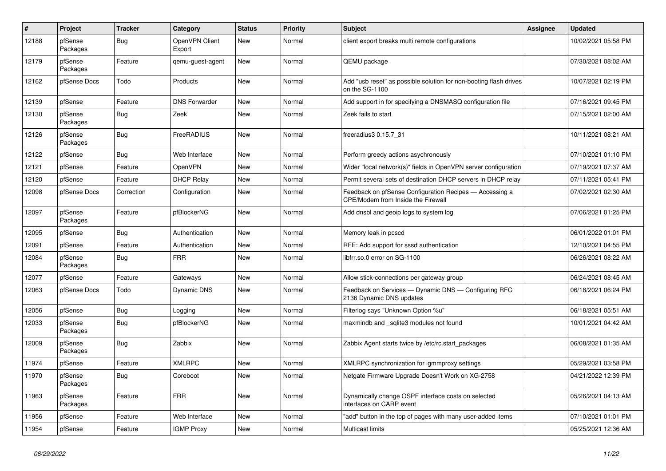| $\vert$ # | Project             | <b>Tracker</b> | Category                 | <b>Status</b> | Priority | <b>Subject</b>                                                                                | Assignee | <b>Updated</b>      |
|-----------|---------------------|----------------|--------------------------|---------------|----------|-----------------------------------------------------------------------------------------------|----------|---------------------|
| 12188     | pfSense<br>Packages | Bug            | OpenVPN Client<br>Export | New           | Normal   | client export breaks multi remote configurations                                              |          | 10/02/2021 05:58 PM |
| 12179     | pfSense<br>Packages | Feature        | qemu-guest-agent         | <b>New</b>    | Normal   | QEMU package                                                                                  |          | 07/30/2021 08:02 AM |
| 12162     | pfSense Docs        | Todo           | Products                 | <b>New</b>    | Normal   | Add "usb reset" as possible solution for non-booting flash drives<br>on the SG-1100           |          | 10/07/2021 02:19 PM |
| 12139     | pfSense             | Feature        | <b>DNS Forwarder</b>     | New           | Normal   | Add support in for specifying a DNSMASQ configuration file                                    |          | 07/16/2021 09:45 PM |
| 12130     | pfSense<br>Packages | <b>Bug</b>     | Zeek                     | New           | Normal   | Zeek fails to start                                                                           |          | 07/15/2021 02:00 AM |
| 12126     | pfSense<br>Packages | Bug            | FreeRADIUS               | New           | Normal   | freeradius3 0.15.7 31                                                                         |          | 10/11/2021 08:21 AM |
| 12122     | pfSense             | Bug            | Web Interface            | <b>New</b>    | Normal   | Perform greedy actions asychronously                                                          |          | 07/10/2021 01:10 PM |
| 12121     | pfSense             | Feature        | OpenVPN                  | <b>New</b>    | Normal   | Wider "local network(s)" fields in OpenVPN server configuration                               |          | 07/19/2021 07:37 AM |
| 12120     | pfSense             | Feature        | <b>DHCP Relay</b>        | <b>New</b>    | Normal   | Permit several sets of destination DHCP servers in DHCP relav                                 |          | 07/11/2021 05:41 PM |
| 12098     | pfSense Docs        | Correction     | Configuration            | New           | Normal   | Feedback on pfSense Configuration Recipes - Accessing a<br>CPE/Modem from Inside the Firewall |          | 07/02/2021 02:30 AM |
| 12097     | pfSense<br>Packages | Feature        | pfBlockerNG              | New           | Normal   | Add dnsbl and geoip logs to system log                                                        |          | 07/06/2021 01:25 PM |
| 12095     | pfSense             | Bug            | Authentication           | New           | Normal   | Memory leak in pcscd                                                                          |          | 06/01/2022 01:01 PM |
| 12091     | pfSense             | Feature        | Authentication           | New           | Normal   | RFE: Add support for sssd authentication                                                      |          | 12/10/2021 04:55 PM |
| 12084     | pfSense<br>Packages | Bug            | <b>FRR</b>               | New           | Normal   | libfrr.so.0 error on SG-1100                                                                  |          | 06/26/2021 08:22 AM |
| 12077     | pfSense             | Feature        | Gateways                 | New           | Normal   | Allow stick-connections per gateway group                                                     |          | 06/24/2021 08:45 AM |
| 12063     | pfSense Docs        | Todo           | <b>Dynamic DNS</b>       | <b>New</b>    | Normal   | Feedback on Services - Dynamic DNS - Configuring RFC<br>2136 Dynamic DNS updates              |          | 06/18/2021 06:24 PM |
| 12056     | pfSense             | Bug            | Logging                  | <b>New</b>    | Normal   | Filterlog says "Unknown Option %u"                                                            |          | 06/18/2021 05:51 AM |
| 12033     | pfSense<br>Packages | Bug            | pfBlockerNG              | <b>New</b>    | Normal   | maxmindb and sqlite3 modules not found                                                        |          | 10/01/2021 04:42 AM |
| 12009     | pfSense<br>Packages | <b>Bug</b>     | Zabbix                   | New           | Normal   | Zabbix Agent starts twice by /etc/rc.start_packages                                           |          | 06/08/2021 01:35 AM |
| 11974     | pfSense             | Feature        | <b>XMLRPC</b>            | <b>New</b>    | Normal   | XMLRPC synchronization for igmmproxy settings                                                 |          | 05/29/2021 03:58 PM |
| 11970     | pfSense<br>Packages | Bug            | Coreboot                 | <b>New</b>    | Normal   | Netgate Firmware Upgrade Doesn't Work on XG-2758                                              |          | 04/21/2022 12:39 PM |
| 11963     | pfSense<br>Packages | Feature        | <b>FRR</b>               | <b>New</b>    | Normal   | Dynamically change OSPF interface costs on selected<br>interfaces on CARP event               |          | 05/26/2021 04:13 AM |
| 11956     | pfSense             | Feature        | Web Interface            | New           | Normal   | "add" button in the top of pages with many user-added items                                   |          | 07/10/2021 01:01 PM |
| 11954     | pfSense             | Feature        | <b>IGMP Proxy</b>        | New           | Normal   | Multicast limits                                                                              |          | 05/25/2021 12:36 AM |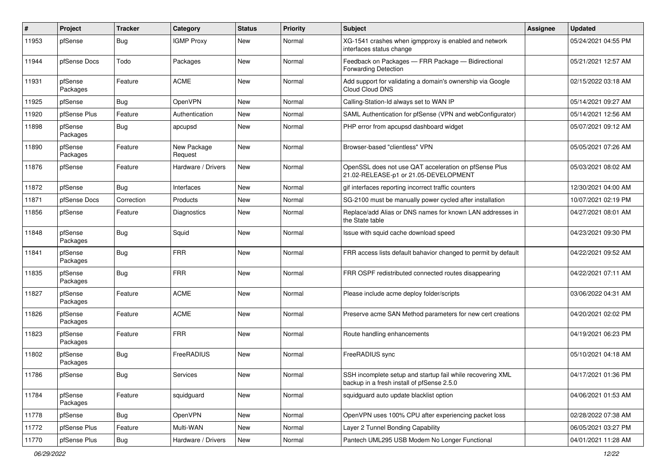| #     | Project             | <b>Tracker</b> | Category               | <b>Status</b> | <b>Priority</b> | <b>Subject</b>                                                                                           | Assignee | <b>Updated</b>      |
|-------|---------------------|----------------|------------------------|---------------|-----------------|----------------------------------------------------------------------------------------------------------|----------|---------------------|
| 11953 | pfSense             | <b>Bug</b>     | <b>IGMP Proxy</b>      | <b>New</b>    | Normal          | XG-1541 crashes when igmpproxy is enabled and network<br>interfaces status change                        |          | 05/24/2021 04:55 PM |
| 11944 | pfSense Docs        | Todo           | Packages               | <b>New</b>    | Normal          | Feedback on Packages - FRR Package - Bidirectional<br>Forwarding Detection                               |          | 05/21/2021 12:57 AM |
| 11931 | pfSense<br>Packages | Feature        | <b>ACME</b>            | <b>New</b>    | Normal          | Add support for validating a domain's ownership via Google<br>Cloud Cloud DNS                            |          | 02/15/2022 03:18 AM |
| 11925 | pfSense             | Bug            | OpenVPN                | <b>New</b>    | Normal          | Calling-Station-Id always set to WAN IP                                                                  |          | 05/14/2021 09:27 AM |
| 11920 | pfSense Plus        | Feature        | Authentication         | <b>New</b>    | Normal          | SAML Authentication for pfSense (VPN and webConfigurator)                                                |          | 05/14/2021 12:56 AM |
| 11898 | pfSense<br>Packages | Bug            | apcupsd                | New           | Normal          | PHP error from apcupsd dashboard widget                                                                  |          | 05/07/2021 09:12 AM |
| 11890 | pfSense<br>Packages | Feature        | New Package<br>Request | <b>New</b>    | Normal          | Browser-based "clientless" VPN                                                                           |          | 05/05/2021 07:26 AM |
| 11876 | pfSense             | Feature        | Hardware / Drivers     | <b>New</b>    | Normal          | OpenSSL does not use QAT acceleration on pfSense Plus<br>21.02-RELEASE-p1 or 21.05-DEVELOPMENT           |          | 05/03/2021 08:02 AM |
| 11872 | pfSense             | Bug            | Interfaces             | <b>New</b>    | Normal          | gif interfaces reporting incorrect traffic counters                                                      |          | 12/30/2021 04:00 AM |
| 11871 | pfSense Docs        | Correction     | Products               | <b>New</b>    | Normal          | SG-2100 must be manually power cycled after installation                                                 |          | 10/07/2021 02:19 PM |
| 11856 | pfSense             | Feature        | Diagnostics            | New           | Normal          | Replace/add Alias or DNS names for known LAN addresses in<br>the State table                             |          | 04/27/2021 08:01 AM |
| 11848 | pfSense<br>Packages | Bug            | Squid                  | <b>New</b>    | Normal          | Issue with squid cache download speed                                                                    |          | 04/23/2021 09:30 PM |
| 11841 | pfSense<br>Packages | Bug            | <b>FRR</b>             | New           | Normal          | FRR access lists default bahavior changed to permit by default                                           |          | 04/22/2021 09:52 AM |
| 11835 | pfSense<br>Packages | Bug            | <b>FRR</b>             | <b>New</b>    | Normal          | FRR OSPF redistributed connected routes disappearing                                                     |          | 04/22/2021 07:11 AM |
| 11827 | pfSense<br>Packages | Feature        | <b>ACME</b>            | <b>New</b>    | Normal          | Please include acme deploy folder/scripts                                                                |          | 03/06/2022 04:31 AM |
| 11826 | pfSense<br>Packages | Feature        | <b>ACME</b>            | New           | Normal          | Preserve acme SAN Method parameters for new cert creations                                               |          | 04/20/2021 02:02 PM |
| 11823 | pfSense<br>Packages | Feature        | <b>FRR</b>             | <b>New</b>    | Normal          | Route handling enhancements                                                                              |          | 04/19/2021 06:23 PM |
| 11802 | pfSense<br>Packages | Bug            | FreeRADIUS             | <b>New</b>    | Normal          | FreeRADIUS sync                                                                                          |          | 05/10/2021 04:18 AM |
| 11786 | pfSense             | Bug            | Services               | New           | Normal          | SSH incomplete setup and startup fail while recovering XML<br>backup in a fresh install of pfSense 2.5.0 |          | 04/17/2021 01:36 PM |
| 11784 | pfSense<br>Packages | Feature        | squidguard             | New           | Normal          | squidguard auto update blacklist option                                                                  |          | 04/06/2021 01:53 AM |
| 11778 | pfSense             | Bug            | OpenVPN                | New           | Normal          | OpenVPN uses 100% CPU after experiencing packet loss                                                     |          | 02/28/2022 07:38 AM |
| 11772 | pfSense Plus        | Feature        | Multi-WAN              | New           | Normal          | Layer 2 Tunnel Bonding Capability                                                                        |          | 06/05/2021 03:27 PM |
| 11770 | pfSense Plus        | <b>Bug</b>     | Hardware / Drivers     | New           | Normal          | Pantech UML295 USB Modem No Longer Functional                                                            |          | 04/01/2021 11:28 AM |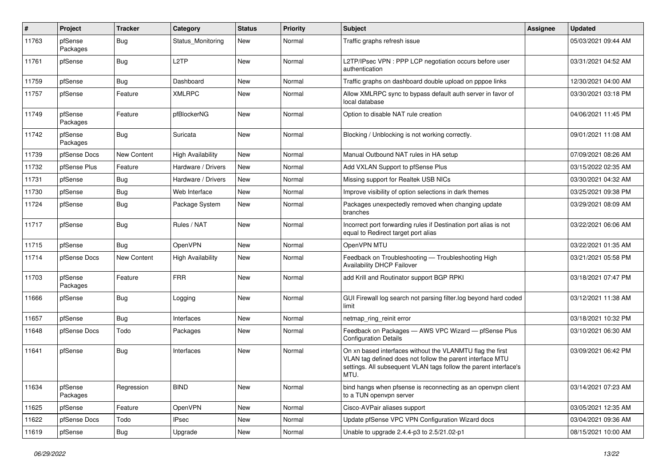| ∦     | Project             | <b>Tracker</b> | Category                 | <b>Status</b> | <b>Priority</b> | <b>Subject</b>                                                                                                                                                                                     | <b>Assignee</b> | <b>Updated</b>      |
|-------|---------------------|----------------|--------------------------|---------------|-----------------|----------------------------------------------------------------------------------------------------------------------------------------------------------------------------------------------------|-----------------|---------------------|
| 11763 | pfSense<br>Packages | <b>Bug</b>     | Status Monitoring        | New           | Normal          | Traffic graphs refresh issue                                                                                                                                                                       |                 | 05/03/2021 09:44 AM |
| 11761 | pfSense             | Bug            | L <sub>2</sub> TP        | New           | Normal          | L2TP/IPsec VPN : PPP LCP negotiation occurs before user<br>authentication                                                                                                                          |                 | 03/31/2021 04:52 AM |
| 11759 | pfSense             | Bug            | Dashboard                | <b>New</b>    | Normal          | Traffic graphs on dashboard double upload on pppoe links                                                                                                                                           |                 | 12/30/2021 04:00 AM |
| 11757 | pfSense             | Feature        | XMLRPC                   | New           | Normal          | Allow XMLRPC sync to bypass default auth server in favor of<br>local database                                                                                                                      |                 | 03/30/2021 03:18 PM |
| 11749 | pfSense<br>Packages | Feature        | pfBlockerNG              | New           | Normal          | Option to disable NAT rule creation                                                                                                                                                                |                 | 04/06/2021 11:45 PM |
| 11742 | pfSense<br>Packages | Bug            | Suricata                 | New           | Normal          | Blocking / Unblocking is not working correctly.                                                                                                                                                    |                 | 09/01/2021 11:08 AM |
| 11739 | pfSense Docs        | New Content    | <b>High Availability</b> | New           | Normal          | Manual Outbound NAT rules in HA setup                                                                                                                                                              |                 | 07/09/2021 08:26 AM |
| 11732 | pfSense Plus        | Feature        | Hardware / Drivers       | New           | Normal          | Add VXLAN Support to pfSense Plus                                                                                                                                                                  |                 | 03/15/2022 02:35 AM |
| 11731 | pfSense             | <b>Bug</b>     | Hardware / Drivers       | New           | Normal          | Missing support for Realtek USB NICs                                                                                                                                                               |                 | 03/30/2021 04:32 AM |
| 11730 | pfSense             | Bug            | Web Interface            | New           | Normal          | Improve visibility of option selections in dark themes                                                                                                                                             |                 | 03/25/2021 09:38 PM |
| 11724 | pfSense             | Bug            | Package System           | New           | Normal          | Packages unexpectedly removed when changing update<br>branches                                                                                                                                     |                 | 03/29/2021 08:09 AM |
| 11717 | pfSense             | Bug            | Rules / NAT              | New           | Normal          | Incorrect port forwarding rules if Destination port alias is not<br>equal to Redirect target port alias                                                                                            |                 | 03/22/2021 06:06 AM |
| 11715 | pfSense             | Bug            | OpenVPN                  | New           | Normal          | OpenVPN MTU                                                                                                                                                                                        |                 | 03/22/2021 01:35 AM |
| 11714 | pfSense Docs        | New Content    | <b>High Availability</b> | New           | Normal          | Feedback on Troubleshooting - Troubleshooting High<br>Availability DHCP Failover                                                                                                                   |                 | 03/21/2021 05:58 PM |
| 11703 | pfSense<br>Packages | Feature        | <b>FRR</b>               | New           | Normal          | add Krill and Routinator support BGP RPKI                                                                                                                                                          |                 | 03/18/2021 07:47 PM |
| 11666 | pfSense             | Bug            | Logging                  | New           | Normal          | GUI Firewall log search not parsing filter.log beyond hard coded<br>limit                                                                                                                          |                 | 03/12/2021 11:38 AM |
| 11657 | pfSense             | Bug            | Interfaces               | New           | Normal          | netmap ring reinit error                                                                                                                                                                           |                 | 03/18/2021 10:32 PM |
| 11648 | pfSense Docs        | Todo           | Packages                 | New           | Normal          | Feedback on Packages - AWS VPC Wizard - pfSense Plus<br><b>Configuration Details</b>                                                                                                               |                 | 03/10/2021 06:30 AM |
| 11641 | pfSense             | Bug            | Interfaces               | New           | Normal          | On xn based interfaces without the VLANMTU flag the first<br>VLAN tag defined does not follow the parent interface MTU<br>settings. All subsequent VLAN tags follow the parent interface's<br>MTU. |                 | 03/09/2021 06:42 PM |
| 11634 | pfSense<br>Packages | Regression     | <b>BIND</b>              | New           | Normal          | bind hangs when pfsense is reconnecting as an openvpn client<br>to a TUN openvpn server                                                                                                            |                 | 03/14/2021 07:23 AM |
| 11625 | pfSense             | Feature        | OpenVPN                  | New           | Normal          | Cisco-AVPair aliases support                                                                                                                                                                       |                 | 03/05/2021 12:35 AM |
| 11622 | pfSense Docs        | Todo           | <b>IPsec</b>             | New           | Normal          | Update pfSense VPC VPN Configuration Wizard docs                                                                                                                                                   |                 | 03/04/2021 09:36 AM |
| 11619 | pfSense             | <b>Bug</b>     | Upgrade                  | New           | Normal          | Unable to upgrade 2.4.4-p3 to 2.5/21.02-p1                                                                                                                                                         |                 | 08/15/2021 10:00 AM |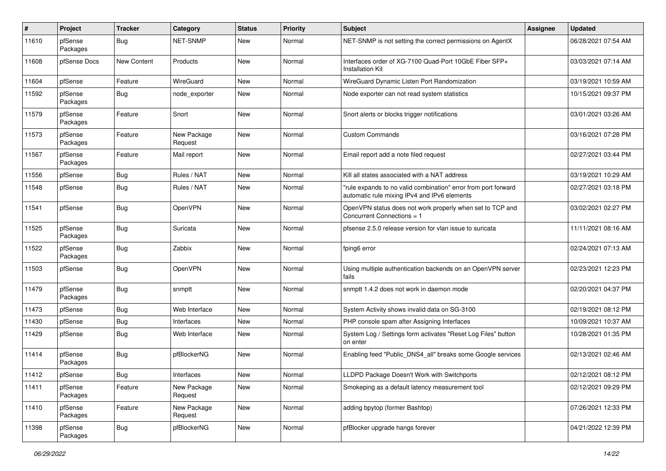| #     | Project             | <b>Tracker</b> | Category               | <b>Status</b> | <b>Priority</b> | <b>Subject</b>                                                                                                 | Assignee | <b>Updated</b>      |
|-------|---------------------|----------------|------------------------|---------------|-----------------|----------------------------------------------------------------------------------------------------------------|----------|---------------------|
| 11610 | pfSense<br>Packages | <b>Bug</b>     | <b>NET-SNMP</b>        | <b>New</b>    | Normal          | NET-SNMP is not setting the correct permissions on AgentX                                                      |          | 06/28/2021 07:54 AM |
| 11608 | pfSense Docs        | New Content    | Products               | <b>New</b>    | Normal          | Interfaces order of XG-7100 Quad-Port 10GbE Fiber SFP+<br><b>Installation Kit</b>                              |          | 03/03/2021 07:14 AM |
| 11604 | pfSense             | Feature        | <b>WireGuard</b>       | <b>New</b>    | Normal          | WireGuard Dynamic Listen Port Randomization                                                                    |          | 03/19/2021 10:59 AM |
| 11592 | pfSense<br>Packages | Bug            | node exporter          | New           | Normal          | Node exporter can not read system statistics                                                                   |          | 10/15/2021 09:37 PM |
| 11579 | pfSense<br>Packages | Feature        | Snort                  | New           | Normal          | Snort alerts or blocks trigger notifications                                                                   |          | 03/01/2021 03:26 AM |
| 11573 | pfSense<br>Packages | Feature        | New Package<br>Request | <b>New</b>    | Normal          | <b>Custom Commands</b>                                                                                         |          | 03/16/2021 07:28 PM |
| 11567 | pfSense<br>Packages | Feature        | Mail report            | New           | Normal          | Email report add a note filed request                                                                          |          | 02/27/2021 03:44 PM |
| 11556 | pfSense             | Bug            | Rules / NAT            | New           | Normal          | Kill all states associated with a NAT address                                                                  |          | 03/19/2021 10:29 AM |
| 11548 | pfSense             | Bug            | Rules / NAT            | New           | Normal          | "rule expands to no valid combination" error from port forward<br>automatic rule mixing IPv4 and IPv6 elements |          | 02/27/2021 03:18 PM |
| 11541 | pfSense             | Bug            | OpenVPN                | New           | Normal          | OpenVPN status does not work properly when set to TCP and<br>Concurrent Connections = 1                        |          | 03/02/2021 02:27 PM |
| 11525 | pfSense<br>Packages | Bug            | Suricata               | New           | Normal          | pfsense 2.5.0 release version for vlan issue to suricata                                                       |          | 11/11/2021 08:16 AM |
| 11522 | pfSense<br>Packages | <b>Bug</b>     | Zabbix                 | <b>New</b>    | Normal          | fping6 error                                                                                                   |          | 02/24/2021 07:13 AM |
| 11503 | pfSense             | Bug            | OpenVPN                | New           | Normal          | Using multiple authentication backends on an OpenVPN server<br>fails                                           |          | 02/23/2021 12:23 PM |
| 11479 | pfSense<br>Packages | Bug            | snmptt                 | New           | Normal          | snmptt 1.4.2 does not work in daemon mode                                                                      |          | 02/20/2021 04:37 PM |
| 11473 | pfSense             | Bug            | Web Interface          | <b>New</b>    | Normal          | System Activity shows invalid data on SG-3100                                                                  |          | 02/19/2021 08:12 PM |
| 11430 | pfSense             | <b>Bug</b>     | Interfaces             | New           | Normal          | PHP console spam after Assigning Interfaces                                                                    |          | 10/09/2021 10:37 AM |
| 11429 | pfSense             | Bug            | Web Interface          | New           | Normal          | System Log / Settings form activates "Reset Log Files" button<br>on enter                                      |          | 10/28/2021 01:35 PM |
| 11414 | pfSense<br>Packages | Bug            | pfBlockerNG            | New           | Normal          | Enabling feed "Public_DNS4_all" breaks some Google services                                                    |          | 02/13/2021 02:46 AM |
| 11412 | pfSense             | Bug            | Interfaces             | New           | Normal          | LLDPD Package Doesn't Work with Switchports                                                                    |          | 02/12/2021 08:12 PM |
| 11411 | pfSense<br>Packages | Feature        | New Package<br>Request | New           | Normal          | Smokeping as a default latency measurement tool                                                                |          | 02/12/2021 09:29 PM |
| 11410 | pfSense<br>Packages | Feature        | New Package<br>Request | New           | Normal          | adding bpytop (former Bashtop)                                                                                 |          | 07/26/2021 12:33 PM |
| 11398 | pfSense<br>Packages | <b>Bug</b>     | pfBlockerNG            | New           | Normal          | pfBlocker upgrade hangs forever                                                                                |          | 04/21/2022 12:39 PM |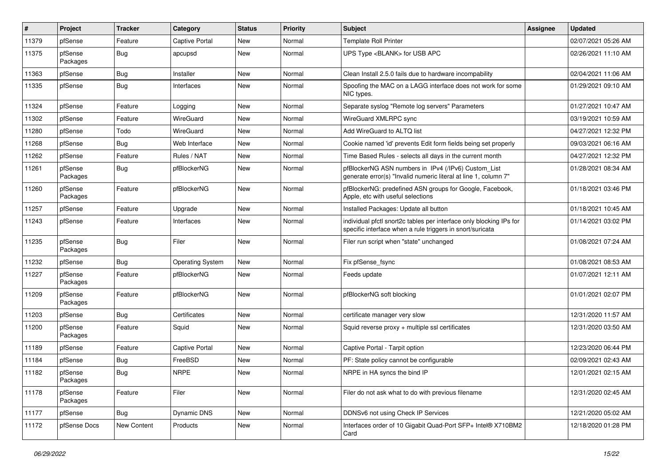| $\vert$ # | Project             | <b>Tracker</b> | Category                | <b>Status</b> | Priority | <b>Subject</b>                                                                                                                   | <b>Assignee</b> | <b>Updated</b>      |
|-----------|---------------------|----------------|-------------------------|---------------|----------|----------------------------------------------------------------------------------------------------------------------------------|-----------------|---------------------|
| 11379     | pfSense             | Feature        | <b>Captive Portal</b>   | New           | Normal   | <b>Template Roll Printer</b>                                                                                                     |                 | 02/07/2021 05:26 AM |
| 11375     | pfSense<br>Packages | Bug            | apcupsd                 | New           | Normal   | UPS Type <blank> for USB APC</blank>                                                                                             |                 | 02/26/2021 11:10 AM |
| 11363     | pfSense             | <b>Bug</b>     | Installer               | New           | Normal   | Clean Install 2.5.0 fails due to hardware incompability                                                                          |                 | 02/04/2021 11:06 AM |
| 11335     | pfSense             | Bug            | Interfaces              | New           | Normal   | Spoofing the MAC on a LAGG interface does not work for some<br>NIC types.                                                        |                 | 01/29/2021 09:10 AM |
| 11324     | pfSense             | Feature        | Logging                 | New           | Normal   | Separate syslog "Remote log servers" Parameters                                                                                  |                 | 01/27/2021 10:47 AM |
| 11302     | pfSense             | Feature        | WireGuard               | <b>New</b>    | Normal   | WireGuard XMLRPC sync                                                                                                            |                 | 03/19/2021 10:59 AM |
| 11280     | pfSense             | Todo           | WireGuard               | New           | Normal   | Add WireGuard to ALTQ list                                                                                                       |                 | 04/27/2021 12:32 PM |
| 11268     | pfSense             | Bug            | Web Interface           | New           | Normal   | Cookie named 'id' prevents Edit form fields being set properly                                                                   |                 | 09/03/2021 06:16 AM |
| 11262     | pfSense             | Feature        | Rules / NAT             | New           | Normal   | Time Based Rules - selects all days in the current month                                                                         |                 | 04/27/2021 12:32 PM |
| 11261     | pfSense<br>Packages | Bug            | pfBlockerNG             | New           | Normal   | pfBlockerNG ASN numbers in IPv4 (/IPv6) Custom_List<br>generate error(s) "Invalid numeric literal at line 1, column 7"           |                 | 01/28/2021 08:34 AM |
| 11260     | pfSense<br>Packages | Feature        | pfBlockerNG             | New           | Normal   | pfBlockerNG: predefined ASN groups for Google, Facebook,<br>Apple, etc with useful selections                                    |                 | 01/18/2021 03:46 PM |
| 11257     | pfSense             | Feature        | Upgrade                 | New           | Normal   | Installed Packages: Update all button                                                                                            |                 | 01/18/2021 10:45 AM |
| 11243     | pfSense             | Feature        | Interfaces              | New           | Normal   | individual pfctl snort2c tables per interface only blocking IPs for<br>specific interface when a rule triggers in snort/suricata |                 | 01/14/2021 03:02 PM |
| 11235     | pfSense<br>Packages | Bug            | Filer                   | New           | Normal   | Filer run script when "state" unchanged                                                                                          |                 | 01/08/2021 07:24 AM |
| 11232     | pfSense             | Bug            | <b>Operating System</b> | New           | Normal   | Fix pfSense_fsync                                                                                                                |                 | 01/08/2021 08:53 AM |
| 11227     | pfSense<br>Packages | Feature        | pfBlockerNG             | New           | Normal   | Feeds update                                                                                                                     |                 | 01/07/2021 12:11 AM |
| 11209     | pfSense<br>Packages | Feature        | pfBlockerNG             | New           | Normal   | pfBlockerNG soft blocking                                                                                                        |                 | 01/01/2021 02:07 PM |
| 11203     | pfSense             | Bug            | Certificates            | New           | Normal   | certificate manager very slow                                                                                                    |                 | 12/31/2020 11:57 AM |
| 11200     | pfSense<br>Packages | Feature        | Squid                   | New           | Normal   | Squid reverse $proxy + \text{multiple} ssl$ certificates                                                                         |                 | 12/31/2020 03:50 AM |
| 11189     | pfSense             | Feature        | <b>Captive Portal</b>   | New           | Normal   | Captive Portal - Tarpit option                                                                                                   |                 | 12/23/2020 06:44 PM |
| 11184     | pfSense             | Bug            | FreeBSD                 | New           | Normal   | PF: State policy cannot be configurable                                                                                          |                 | 02/09/2021 02:43 AM |
| 11182     | pfSense<br>Packages | Bug            | <b>NRPE</b>             | New           | Normal   | NRPE in HA syncs the bind IP                                                                                                     |                 | 12/01/2021 02:15 AM |
| 11178     | pfSense<br>Packages | Feature        | Filer                   | New           | Normal   | Filer do not ask what to do with previous filename                                                                               |                 | 12/31/2020 02:45 AM |
| 11177     | pfSense             | Bug            | Dynamic DNS             | New           | Normal   | DDNSv6 not using Check IP Services                                                                                               |                 | 12/21/2020 05:02 AM |
| 11172     | pfSense Docs        | New Content    | Products                | New           | Normal   | Interfaces order of 10 Gigabit Quad-Port SFP+ Intel® X710BM2<br>Card                                                             |                 | 12/18/2020 01:28 PM |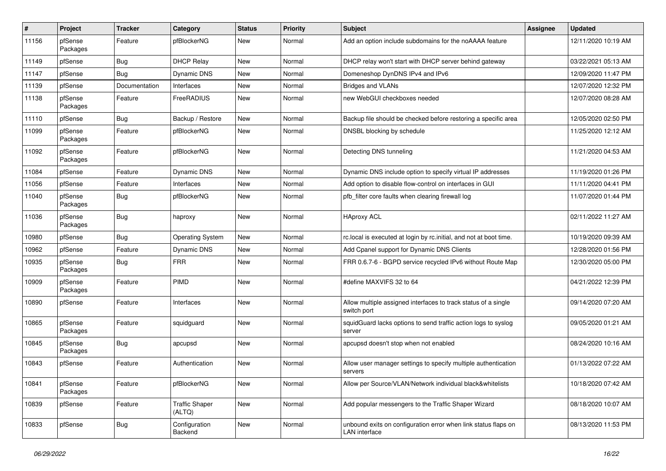| #     | Project             | <b>Tracker</b> | Category                        | <b>Status</b> | <b>Priority</b> | <b>Subject</b>                                                                  | Assignee | <b>Updated</b>      |
|-------|---------------------|----------------|---------------------------------|---------------|-----------------|---------------------------------------------------------------------------------|----------|---------------------|
| 11156 | pfSense<br>Packages | Feature        | pfBlockerNG                     | New           | Normal          | Add an option include subdomains for the noAAAA feature                         |          | 12/11/2020 10:19 AM |
| 11149 | pfSense             | Bug            | <b>DHCP Relay</b>               | New           | Normal          | DHCP relay won't start with DHCP server behind gateway                          |          | 03/22/2021 05:13 AM |
| 11147 | pfSense             | Bug            | Dynamic DNS                     | New           | Normal          | Domeneshop DynDNS IPv4 and IPv6                                                 |          | 12/09/2020 11:47 PM |
| 11139 | pfSense             | Documentation  | Interfaces                      | New           | Normal          | <b>Bridges and VLANs</b>                                                        |          | 12/07/2020 12:32 PM |
| 11138 | pfSense<br>Packages | Feature        | FreeRADIUS                      | New           | Normal          | new WebGUI checkboxes needed                                                    |          | 12/07/2020 08:28 AM |
| 11110 | pfSense             | Bug            | Backup / Restore                | New           | Normal          | Backup file should be checked before restoring a specific area                  |          | 12/05/2020 02:50 PM |
| 11099 | pfSense<br>Packages | Feature        | pfBlockerNG                     | New           | Normal          | DNSBL blocking by schedule                                                      |          | 11/25/2020 12:12 AM |
| 11092 | pfSense<br>Packages | Feature        | pfBlockerNG                     | <b>New</b>    | Normal          | Detecting DNS tunneling                                                         |          | 11/21/2020 04:53 AM |
| 11084 | pfSense             | Feature        | Dynamic DNS                     | <b>New</b>    | Normal          | Dynamic DNS include option to specify virtual IP addresses                      |          | 11/19/2020 01:26 PM |
| 11056 | pfSense             | Feature        | Interfaces                      | New           | Normal          | Add option to disable flow-control on interfaces in GUI                         |          | 11/11/2020 04:41 PM |
| 11040 | pfSense<br>Packages | Bug            | pfBlockerNG                     | New           | Normal          | pfb filter core faults when clearing firewall log                               |          | 11/07/2020 01:44 PM |
| 11036 | pfSense<br>Packages | Bug            | haproxy                         | <b>New</b>    | Normal          | <b>HAproxy ACL</b>                                                              |          | 02/11/2022 11:27 AM |
| 10980 | pfSense             | Bug            | <b>Operating System</b>         | New           | Normal          | rc.local is executed at login by rc.initial, and not at boot time.              |          | 10/19/2020 09:39 AM |
| 10962 | pfSense             | Feature        | Dynamic DNS                     | New           | Normal          | Add Cpanel support for Dynamic DNS Clients                                      |          | 12/28/2020 01:56 PM |
| 10935 | pfSense<br>Packages | <b>Bug</b>     | <b>FRR</b>                      | <b>New</b>    | Normal          | FRR 0.6.7-6 - BGPD service recycled IPv6 without Route Map                      |          | 12/30/2020 05:00 PM |
| 10909 | pfSense<br>Packages | Feature        | PIMD                            | New           | Normal          | #define MAXVIFS 32 to 64                                                        |          | 04/21/2022 12:39 PM |
| 10890 | pfSense             | Feature        | Interfaces                      | <b>New</b>    | Normal          | Allow multiple assigned interfaces to track status of a single<br>switch port   |          | 09/14/2020 07:20 AM |
| 10865 | pfSense<br>Packages | Feature        | squidguard                      | New           | Normal          | squidGuard lacks options to send traffic action logs to syslog<br>server        |          | 09/05/2020 01:21 AM |
| 10845 | pfSense<br>Packages | <b>Bug</b>     | apcupsd                         | New           | Normal          | apcupsd doesn't stop when not enabled                                           |          | 08/24/2020 10:16 AM |
| 10843 | pfSense             | Feature        | Authentication                  | New           | Normal          | Allow user manager settings to specify multiple authentication<br>servers       |          | 01/13/2022 07:22 AM |
| 10841 | pfSense<br>Packages | Feature        | pfBlockerNG                     | New           | Normal          | Allow per Source/VLAN/Network individual black&whitelists                       |          | 10/18/2020 07:42 AM |
| 10839 | pfSense             | Feature        | <b>Traffic Shaper</b><br>(ALTQ) | New           | Normal          | Add popular messengers to the Traffic Shaper Wizard                             |          | 08/18/2020 10:07 AM |
| 10833 | pfSense             | <b>Bug</b>     | Configuration<br>Backend        | New           | Normal          | unbound exits on configuration error when link status flaps on<br>LAN interface |          | 08/13/2020 11:53 PM |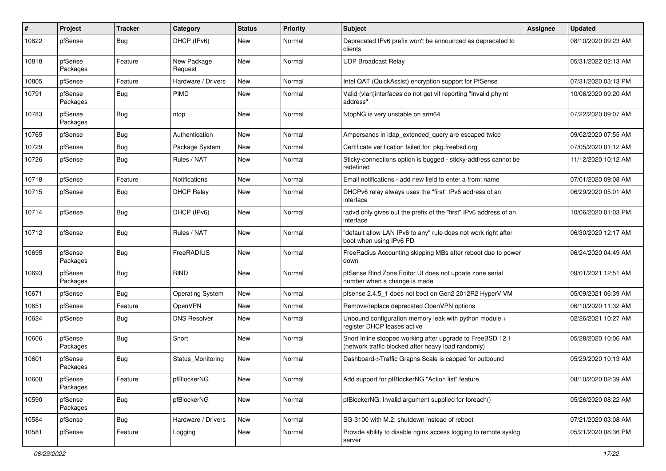| ∦     | Project             | <b>Tracker</b> | Category                | <b>Status</b> | <b>Priority</b> | <b>Subject</b>                                                                                                    | <b>Assignee</b> | <b>Updated</b>      |
|-------|---------------------|----------------|-------------------------|---------------|-----------------|-------------------------------------------------------------------------------------------------------------------|-----------------|---------------------|
| 10822 | pfSense             | <b>Bug</b>     | DHCP (IPv6)             | New           | Normal          | Deprecated IPv6 prefix won't be announced as deprecated to<br>clients                                             |                 | 08/10/2020 09:23 AM |
| 10818 | pfSense<br>Packages | Feature        | New Package<br>Request  | <b>New</b>    | Normal          | <b>UDP Broadcast Relay</b>                                                                                        |                 | 05/31/2022 02:13 AM |
| 10805 | pfSense             | Feature        | Hardware / Drivers      | <b>New</b>    | Normal          | Intel QAT (QuickAssist) encryption support for PfSense                                                            |                 | 07/31/2020 03:13 PM |
| 10791 | pfSense<br>Packages | Bug            | <b>PIMD</b>             | New           | Normal          | Valid (vlan)interfaces do not get vif reporting "Invalid phyint<br>address'                                       |                 | 10/06/2020 09:20 AM |
| 10783 | pfSense<br>Packages | Bug            | ntop                    | <b>New</b>    | Normal          | NtopNG is very unstable on arm64                                                                                  |                 | 07/22/2020 09:07 AM |
| 10765 | pfSense             | Bug            | Authentication          | <b>New</b>    | Normal          | Ampersands in Idap_extended_query are escaped twice                                                               |                 | 09/02/2020 07:55 AM |
| 10729 | pfSense             | Bug            | Package System          | New           | Normal          | Certificate verification failed for pkg.freebsd.org                                                               |                 | 07/05/2020 01:12 AM |
| 10726 | pfSense             | <b>Bug</b>     | Rules / NAT             | New           | Normal          | Sticky-connections option is bugged - sticky-address cannot be<br>redefined                                       |                 | 11/12/2020 10:12 AM |
| 10718 | pfSense             | Feature        | <b>Notifications</b>    | New           | Normal          | Email notifications - add new field to enter a from: name                                                         |                 | 07/01/2020 09:08 AM |
| 10715 | pfSense             | <b>Bug</b>     | <b>DHCP Relay</b>       | New           | Normal          | DHCPv6 relay always uses the "first" IPv6 address of an<br>interface                                              |                 | 06/29/2020 05:01 AM |
| 10714 | pfSense             | Bug            | DHCP (IPv6)             | New           | Normal          | radvd only gives out the prefix of the "first" IPv6 address of an<br>interface                                    |                 | 10/06/2020 01:03 PM |
| 10712 | pfSense             | Bug            | Rules / NAT             | <b>New</b>    | Normal          | "default allow LAN IPv6 to any" rule does not work right after<br>boot when using IPv6 PD                         |                 | 06/30/2020 12:17 AM |
| 10695 | pfSense<br>Packages | Bug            | FreeRADIUS              | <b>New</b>    | Normal          | FreeRadius Accounting skipping MBs after reboot due to power<br>down                                              |                 | 06/24/2020 04:49 AM |
| 10693 | pfSense<br>Packages | Bug            | <b>BIND</b>             | <b>New</b>    | Normal          | pfSense Bind Zone Editor UI does not update zone serial<br>number when a change is made                           |                 | 09/01/2021 12:51 AM |
| 10671 | pfSense             | Bug            | <b>Operating System</b> | New           | Normal          | pfsense 2.4.5_1 does not boot on Gen2 2012R2 HyperV VM                                                            |                 | 05/09/2021 06:39 AM |
| 10651 | pfSense             | Feature        | OpenVPN                 | New           | Normal          | Remove/replace deprecated OpenVPN options                                                                         |                 | 06/10/2020 11:32 AM |
| 10624 | pfSense             | <b>Bug</b>     | <b>DNS Resolver</b>     | <b>New</b>    | Normal          | Unbound configuration memory leak with python module +<br>register DHCP leases active                             |                 | 02/26/2021 10:27 AM |
| 10606 | pfSense<br>Packages | Bug            | Snort                   | New           | Normal          | Snort Inline stopped working after upgrade to FreeBSD 12.1<br>(network traffic blocked after heavy load randomly) |                 | 05/28/2020 10:06 AM |
| 10601 | pfSense<br>Packages | Bug            | Status_Monitoring       | <b>New</b>    | Normal          | Dashboard->Traffic Graphs Scale is capped for outbound                                                            |                 | 05/29/2020 10:13 AM |
| 10600 | pfSense<br>Packages | Feature        | pfBlockerNG             | New           | Normal          | Add support for pfBlockerNG "Action list" feature                                                                 |                 | 08/10/2020 02:39 AM |
| 10590 | pfSense<br>Packages | <b>Bug</b>     | pfBlockerNG             | New           | Normal          | pfBlockerNG: Invalid argument supplied for foreach()                                                              |                 | 05/26/2020 08:22 AM |
| 10584 | pfSense             | <b>Bug</b>     | Hardware / Drivers      | New           | Normal          | SG-3100 with M.2: shutdown instead of reboot                                                                      |                 | 07/21/2020 03:08 AM |
| 10581 | pfSense             | Feature        | Logging                 | New           | Normal          | Provide ability to disable nginx access logging to remote syslog<br>server                                        |                 | 05/21/2020 08:36 PM |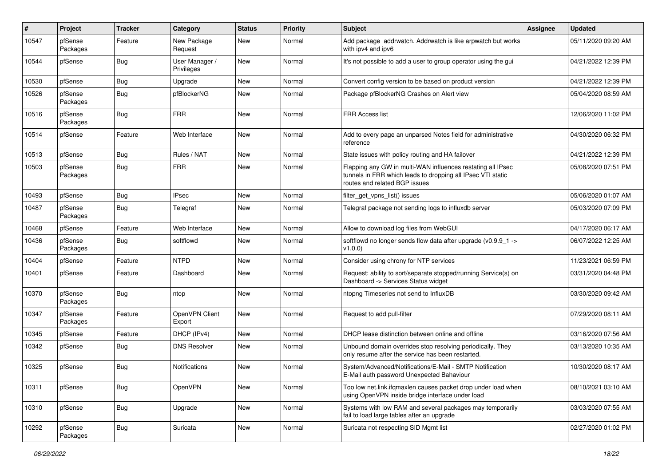| #     | Project             | <b>Tracker</b> | Category                     | <b>Status</b> | <b>Priority</b> | <b>Subject</b>                                                                                                                                              | <b>Assignee</b> | <b>Updated</b>      |
|-------|---------------------|----------------|------------------------------|---------------|-----------------|-------------------------------------------------------------------------------------------------------------------------------------------------------------|-----------------|---------------------|
| 10547 | pfSense<br>Packages | Feature        | New Package<br>Request       | New           | Normal          | Add package addrwatch. Addrwatch is like arpwatch but works<br>with ipv4 and ipv6                                                                           |                 | 05/11/2020 09:20 AM |
| 10544 | pfSense             | Bug            | User Manager /<br>Privileges | New           | Normal          | It's not possible to add a user to group operator using the gui                                                                                             |                 | 04/21/2022 12:39 PM |
| 10530 | pfSense             | Bug            | Upgrade                      | <b>New</b>    | Normal          | Convert config version to be based on product version                                                                                                       |                 | 04/21/2022 12:39 PM |
| 10526 | pfSense<br>Packages | Bug            | pfBlockerNG                  | New           | Normal          | Package pfBlockerNG Crashes on Alert view                                                                                                                   |                 | 05/04/2020 08:59 AM |
| 10516 | pfSense<br>Packages | Bug            | <b>FRR</b>                   | New           | Normal          | <b>FRR Access list</b>                                                                                                                                      |                 | 12/06/2020 11:02 PM |
| 10514 | pfSense             | Feature        | Web Interface                | New           | Normal          | Add to every page an unparsed Notes field for administrative<br>reference                                                                                   |                 | 04/30/2020 06:32 PM |
| 10513 | pfSense             | Bug            | Rules / NAT                  | <b>New</b>    | Normal          | State issues with policy routing and HA failover                                                                                                            |                 | 04/21/2022 12:39 PM |
| 10503 | pfSense<br>Packages | Bug            | <b>FRR</b>                   | New           | Normal          | Flapping any GW in multi-WAN influences restating all IPsec<br>tunnels in FRR which leads to dropping all IPsec VTI static<br>routes and related BGP issues |                 | 05/08/2020 07:51 PM |
| 10493 | pfSense             | Bug            | <b>IPsec</b>                 | <b>New</b>    | Normal          | filter_get_vpns_list() issues                                                                                                                               |                 | 05/06/2020 01:07 AM |
| 10487 | pfSense<br>Packages | Bug            | Telegraf                     | New           | Normal          | Telegraf package not sending logs to influxdb server                                                                                                        |                 | 05/03/2020 07:09 PM |
| 10468 | pfSense             | Feature        | Web Interface                | <b>New</b>    | Normal          | Allow to download log files from WebGUI                                                                                                                     |                 | 04/17/2020 06:17 AM |
| 10436 | pfSense<br>Packages | Bug            | softflowd                    | New           | Normal          | softflowd no longer sends flow data after upgrade (v0.9.9 1 -><br>V1.0.0)                                                                                   |                 | 06/07/2022 12:25 AM |
| 10404 | pfSense             | Feature        | <b>NTPD</b>                  | New           | Normal          | Consider using chrony for NTP services                                                                                                                      |                 | 11/23/2021 06:59 PM |
| 10401 | pfSense             | Feature        | Dashboard                    | New           | Normal          | Request: ability to sort/separate stopped/running Service(s) on<br>Dashboard -> Services Status widget                                                      |                 | 03/31/2020 04:48 PM |
| 10370 | pfSense<br>Packages | <b>Bug</b>     | ntop                         | <b>New</b>    | Normal          | ntopng Timeseries not send to InfluxDB                                                                                                                      |                 | 03/30/2020 09:42 AM |
| 10347 | pfSense<br>Packages | Feature        | OpenVPN Client<br>Export     | <b>New</b>    | Normal          | Request to add pull-filter                                                                                                                                  |                 | 07/29/2020 08:11 AM |
| 10345 | pfSense             | Feature        | DHCP (IPv4)                  | New           | Normal          | DHCP lease distinction between online and offline                                                                                                           |                 | 03/16/2020 07:56 AM |
| 10342 | pfSense             | Bug            | <b>DNS Resolver</b>          | New           | Normal          | Unbound domain overrides stop resolving periodically. They<br>only resume after the service has been restarted.                                             |                 | 03/13/2020 10:35 AM |
| 10325 | pfSense             | <b>Bug</b>     | <b>Notifications</b>         | <b>New</b>    | Normal          | System/Advanced/Notifications/E-Mail - SMTP Notification<br>E-Mail auth password Unexpected Bahaviour                                                       |                 | 10/30/2020 08:17 AM |
| 10311 | pfSense             | Bug            | OpenVPN                      | New           | Normal          | Too low net.link.ifqmaxlen causes packet drop under load when<br>using OpenVPN inside bridge interface under load                                           |                 | 08/10/2021 03:10 AM |
| 10310 | pfSense             | Bug            | Upgrade                      | New           | Normal          | Systems with low RAM and several packages may temporarily<br>fail to load large tables after an upgrade                                                     |                 | 03/03/2020 07:55 AM |
| 10292 | pfSense<br>Packages | Bug            | Suricata                     | New           | Normal          | Suricata not respecting SID Mgmt list                                                                                                                       |                 | 02/27/2020 01:02 PM |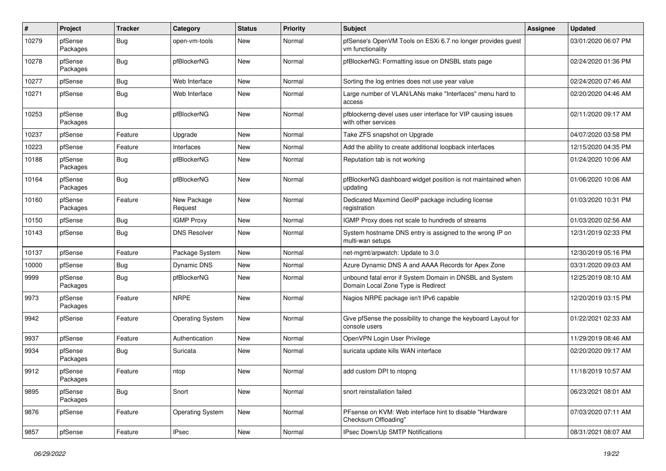| #     | Project             | <b>Tracker</b> | Category                | <b>Status</b> | <b>Priority</b> | <b>Subject</b>                                                                                 | Assignee | <b>Updated</b>      |
|-------|---------------------|----------------|-------------------------|---------------|-----------------|------------------------------------------------------------------------------------------------|----------|---------------------|
| 10279 | pfSense<br>Packages | <b>Bug</b>     | open-vm-tools           | New           | Normal          | pfSense's OpenVM Tools on ESXi 6.7 no longer provides guest<br>vm functionality                |          | 03/01/2020 06:07 PM |
| 10278 | pfSense<br>Packages | Bug            | pfBlockerNG             | New           | Normal          | pfBlockerNG: Formatting issue on DNSBL stats page                                              |          | 02/24/2020 01:36 PM |
| 10277 | pfSense             | Bug            | Web Interface           | <b>New</b>    | Normal          | Sorting the log entries does not use year value                                                |          | 02/24/2020 07:46 AM |
| 10271 | pfSense             | <b>Bug</b>     | Web Interface           | New           | Normal          | Large number of VLAN/LANs make "Interfaces" menu hard to<br>access                             |          | 02/20/2020 04:46 AM |
| 10253 | pfSense<br>Packages | <b>Bug</b>     | pfBlockerNG             | <b>New</b>    | Normal          | pfblockerng-devel uses user interface for VIP causing issues<br>with other services            |          | 02/11/2020 09:17 AM |
| 10237 | pfSense             | Feature        | Upgrade                 | <b>New</b>    | Normal          | Take ZFS snapshot on Upgrade                                                                   |          | 04/07/2020 03:58 PM |
| 10223 | pfSense             | Feature        | Interfaces              | New           | Normal          | Add the ability to create additional loopback interfaces                                       |          | 12/15/2020 04:35 PM |
| 10188 | pfSense<br>Packages | <b>Bug</b>     | pfBlockerNG             | New           | Normal          | Reputation tab is not working                                                                  |          | 01/24/2020 10:06 AM |
| 10164 | pfSense<br>Packages | <b>Bug</b>     | pfBlockerNG             | <b>New</b>    | Normal          | pfBlockerNG dashboard widget position is not maintained when<br>updating                       |          | 01/06/2020 10:06 AM |
| 10160 | pfSense<br>Packages | Feature        | New Package<br>Request  | <b>New</b>    | Normal          | Dedicated Maxmind GeoIP package including license<br>registration                              |          | 01/03/2020 10:31 PM |
| 10150 | pfSense             | <b>Bug</b>     | <b>IGMP Proxy</b>       | <b>New</b>    | Normal          | IGMP Proxy does not scale to hundreds of streams                                               |          | 01/03/2020 02:56 AM |
| 10143 | pfSense             | Bug            | <b>DNS Resolver</b>     | <b>New</b>    | Normal          | System hostname DNS entry is assigned to the wrong IP on<br>multi-wan setups                   |          | 12/31/2019 02:33 PM |
| 10137 | pfSense             | Feature        | Package System          | <b>New</b>    | Normal          | net-mgmt/arpwatch: Update to 3.0                                                               |          | 12/30/2019 05:16 PM |
| 10000 | pfSense             | Bug            | Dynamic DNS             | New           | Normal          | Azure Dynamic DNS A and AAAA Records for Apex Zone                                             |          | 03/31/2020 09:03 AM |
| 9999  | pfSense<br>Packages | Bug            | pfBlockerNG             | New           | Normal          | unbound fatal error if System Domain in DNSBL and System<br>Domain Local Zone Type is Redirect |          | 12/25/2019 08:10 AM |
| 9973  | pfSense<br>Packages | Feature        | <b>NRPE</b>             | New           | Normal          | Nagios NRPE package isn't IPv6 capable                                                         |          | 12/20/2019 03:15 PM |
| 9942  | pfSense             | Feature        | Operating System        | New           | Normal          | Give pfSense the possibility to change the keyboard Layout for<br>console users                |          | 01/22/2021 02:33 AM |
| 9937  | pfSense             | Feature        | Authentication          | <b>New</b>    | Normal          | OpenVPN Login User Privilege                                                                   |          | 11/29/2019 08:46 AM |
| 9934  | pfSense<br>Packages | Bug            | Suricata                | New           | Normal          | suricata update kills WAN interface                                                            |          | 02/20/2020 09:17 AM |
| 9912  | pfSense<br>Packages | Feature        | ntop                    | <b>New</b>    | Normal          | add custom DPI to ntopng                                                                       |          | 11/18/2019 10:57 AM |
| 9895  | pfSense<br>Packages | <b>Bug</b>     | Snort                   | New           | Normal          | snort reinstallation failed                                                                    |          | 06/23/2021 08:01 AM |
| 9876  | pfSense             | Feature        | <b>Operating System</b> | New           | Normal          | PFsense on KVM: Web interface hint to disable "Hardware<br>Checksum Offloading"                |          | 07/03/2020 07:11 AM |
| 9857  | pfSense             | Feature        | <b>IPsec</b>            | New           | Normal          | IPsec Down/Up SMTP Notifications                                                               |          | 08/31/2021 08:07 AM |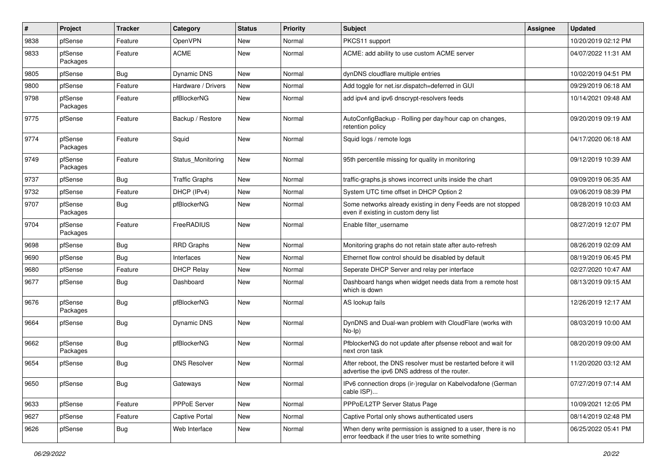| $\pmb{\#}$ | Project             | <b>Tracker</b> | Category              | <b>Status</b> | <b>Priority</b> | Subject                                                                                                              | <b>Assignee</b> | <b>Updated</b>      |
|------------|---------------------|----------------|-----------------------|---------------|-----------------|----------------------------------------------------------------------------------------------------------------------|-----------------|---------------------|
| 9838       | pfSense             | Feature        | <b>OpenVPN</b>        | New           | Normal          | PKCS11 support                                                                                                       |                 | 10/20/2019 02:12 PM |
| 9833       | pfSense<br>Packages | Feature        | <b>ACME</b>           | New           | Normal          | ACME: add ability to use custom ACME server                                                                          |                 | 04/07/2022 11:31 AM |
| 9805       | pfSense             | <b>Bug</b>     | Dynamic DNS           | New           | Normal          | dynDNS cloudflare multiple entries                                                                                   |                 | 10/02/2019 04:51 PM |
| 9800       | pfSense             | Feature        | Hardware / Drivers    | New           | Normal          | Add toggle for net.isr.dispatch=deferred in GUI                                                                      |                 | 09/29/2019 06:18 AM |
| 9798       | pfSense<br>Packages | Feature        | pfBlockerNG           | New           | Normal          | add ipv4 and ipv6 dnscrypt-resolvers feeds                                                                           |                 | 10/14/2021 09:48 AM |
| 9775       | pfSense             | Feature        | Backup / Restore      | <b>New</b>    | Normal          | AutoConfigBackup - Rolling per day/hour cap on changes,<br>retention policy                                          |                 | 09/20/2019 09:19 AM |
| 9774       | pfSense<br>Packages | Feature        | Squid                 | New           | Normal          | Squid logs / remote logs                                                                                             |                 | 04/17/2020 06:18 AM |
| 9749       | pfSense<br>Packages | Feature        | Status_Monitoring     | New           | Normal          | 95th percentile missing for quality in monitoring                                                                    |                 | 09/12/2019 10:39 AM |
| 9737       | pfSense             | Bug            | <b>Traffic Graphs</b> | New           | Normal          | traffic-graphs.js shows incorrect units inside the chart                                                             |                 | 09/09/2019 06:35 AM |
| 9732       | pfSense             | Feature        | DHCP (IPv4)           | New           | Normal          | System UTC time offset in DHCP Option 2                                                                              |                 | 09/06/2019 08:39 PM |
| 9707       | pfSense<br>Packages | <b>Bug</b>     | pfBlockerNG           | <b>New</b>    | Normal          | Some networks already existing in deny Feeds are not stopped<br>even if existing in custom deny list                 |                 | 08/28/2019 10:03 AM |
| 9704       | pfSense<br>Packages | Feature        | FreeRADIUS            | New           | Normal          | Enable filter username                                                                                               |                 | 08/27/2019 12:07 PM |
| 9698       | pfSense             | <b>Bug</b>     | RRD Graphs            | <b>New</b>    | Normal          | Monitoring graphs do not retain state after auto-refresh                                                             |                 | 08/26/2019 02:09 AM |
| 9690       | pfSense             | <b>Bug</b>     | Interfaces            | New           | Normal          | Ethernet flow control should be disabled by default                                                                  |                 | 08/19/2019 06:45 PM |
| 9680       | pfSense             | Feature        | <b>DHCP Relay</b>     | New           | Normal          | Seperate DHCP Server and relay per interface                                                                         |                 | 02/27/2020 10:47 AM |
| 9677       | pfSense             | <b>Bug</b>     | Dashboard             | New           | Normal          | Dashboard hangs when widget needs data from a remote host<br>which is down                                           |                 | 08/13/2019 09:15 AM |
| 9676       | pfSense<br>Packages | <b>Bug</b>     | pfBlockerNG           | New           | Normal          | AS lookup fails                                                                                                      |                 | 12/26/2019 12:17 AM |
| 9664       | pfSense             | <b>Bug</b>     | Dynamic DNS           | New           | Normal          | DynDNS and Dual-wan problem with CloudFlare (works with<br>No-Ip)                                                    |                 | 08/03/2019 10:00 AM |
| 9662       | pfSense<br>Packages | <b>Bug</b>     | pfBlockerNG           | New           | Normal          | PfblockerNG do not update after pfsense reboot and wait for<br>next cron task                                        |                 | 08/20/2019 09:00 AM |
| 9654       | pfSense             | <b>Bug</b>     | <b>DNS Resolver</b>   | New           | Normal          | After reboot, the DNS resolver must be restarted before it will<br>advertise the ipv6 DNS address of the router.     |                 | 11/20/2020 03:12 AM |
| 9650       | pfSense             | <b>Bug</b>     | Gateways              | New           | Normal          | IPv6 connection drops (ir-)regular on Kabelvodafone (German<br>cable ISP)                                            |                 | 07/27/2019 07:14 AM |
| 9633       | pfSense             | Feature        | PPPoE Server          | New           | Normal          | PPPoE/L2TP Server Status Page                                                                                        |                 | 10/09/2021 12:05 PM |
| 9627       | pfSense             | Feature        | Captive Portal        | New           | Normal          | Captive Portal only shows authenticated users                                                                        |                 | 08/14/2019 02:48 PM |
| 9626       | pfSense             | <b>Bug</b>     | Web Interface         | New           | Normal          | When deny write permission is assigned to a user, there is no<br>error feedback if the user tries to write something |                 | 06/25/2022 05:41 PM |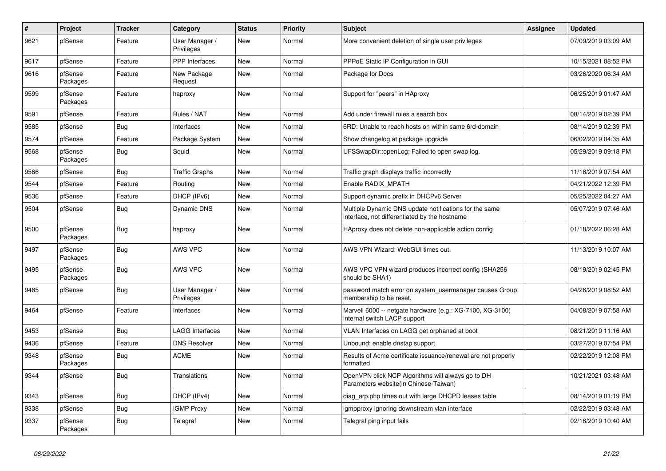| $\vert$ # | Project             | <b>Tracker</b> | Category                     | <b>Status</b> | Priority | <b>Subject</b>                                                                                          | Assignee | <b>Updated</b>      |
|-----------|---------------------|----------------|------------------------------|---------------|----------|---------------------------------------------------------------------------------------------------------|----------|---------------------|
| 9621      | pfSense             | Feature        | User Manager /<br>Privileges | New           | Normal   | More convenient deletion of single user privileges                                                      |          | 07/09/2019 03:09 AM |
| 9617      | pfSense             | Feature        | <b>PPP</b> Interfaces        | <b>New</b>    | Normal   | PPPoE Static IP Configuration in GUI                                                                    |          | 10/15/2021 08:52 PM |
| 9616      | pfSense<br>Packages | Feature        | New Package<br>Request       | <b>New</b>    | Normal   | Package for Docs                                                                                        |          | 03/26/2020 06:34 AM |
| 9599      | pfSense<br>Packages | Feature        | haproxy                      | <b>New</b>    | Normal   | Support for "peers" in HAproxy                                                                          |          | 06/25/2019 01:47 AM |
| 9591      | pfSense             | Feature        | Rules / NAT                  | <b>New</b>    | Normal   | Add under firewall rules a search box                                                                   |          | 08/14/2019 02:39 PM |
| 9585      | pfSense             | Bug            | Interfaces                   | <b>New</b>    | Normal   | 6RD: Unable to reach hosts on within same 6rd-domain                                                    |          | 08/14/2019 02:39 PM |
| 9574      | pfSense             | Feature        | Package System               | <b>New</b>    | Normal   | Show changelog at package upgrade                                                                       |          | 06/02/2019 04:35 AM |
| 9568      | pfSense<br>Packages | Bug            | Squid                        | <b>New</b>    | Normal   | UFSSwapDir::openLog: Failed to open swap log.                                                           |          | 05/29/2019 09:18 PM |
| 9566      | pfSense             | Bug            | <b>Traffic Graphs</b>        | <b>New</b>    | Normal   | Traffic graph displays traffic incorrectly                                                              |          | 11/18/2019 07:54 AM |
| 9544      | pfSense             | Feature        | Routing                      | <b>New</b>    | Normal   | Enable RADIX MPATH                                                                                      |          | 04/21/2022 12:39 PM |
| 9536      | pfSense             | Feature        | DHCP (IPv6)                  | New           | Normal   | Support dynamic prefix in DHCPv6 Server                                                                 |          | 05/25/2022 04:27 AM |
| 9504      | pfSense             | Bug            | Dynamic DNS                  | <b>New</b>    | Normal   | Multiple Dynamic DNS update notifications for the same<br>interface, not differentiated by the hostname |          | 05/07/2019 07:46 AM |
| 9500      | pfSense<br>Packages | Bug            | haproxy                      | <b>New</b>    | Normal   | HAproxy does not delete non-applicable action config                                                    |          | 01/18/2022 06:28 AM |
| 9497      | pfSense<br>Packages | Bug            | AWS VPC                      | <b>New</b>    | Normal   | AWS VPN Wizard: WebGUI times out.                                                                       |          | 11/13/2019 10:07 AM |
| 9495      | pfSense<br>Packages | Bug            | AWS VPC                      | <b>New</b>    | Normal   | AWS VPC VPN wizard produces incorrect config (SHA256)<br>should be SHA1)                                |          | 08/19/2019 02:45 PM |
| 9485      | pfSense             | Bug            | User Manager /<br>Privileges | New           | Normal   | password match error on system usermanager causes Group<br>membership to be reset.                      |          | 04/26/2019 08:52 AM |
| 9464      | pfSense             | Feature        | Interfaces                   | <b>New</b>    | Normal   | Marvell 6000 -- netgate hardware (e.g.: XG-7100, XG-3100)<br>internal switch LACP support               |          | 04/08/2019 07:58 AM |
| 9453      | pfSense             | Bug            | <b>LAGG Interfaces</b>       | <b>New</b>    | Normal   | VLAN Interfaces on LAGG get orphaned at boot                                                            |          | 08/21/2019 11:16 AM |
| 9436      | pfSense             | Feature        | <b>DNS Resolver</b>          | <b>New</b>    | Normal   | Unbound: enable dnstap support                                                                          |          | 03/27/2019 07:54 PM |
| 9348      | pfSense<br>Packages | <b>Bug</b>     | <b>ACME</b>                  | <b>New</b>    | Normal   | Results of Acme certificate issuance/renewal are not properly<br>formatted                              |          | 02/22/2019 12:08 PM |
| 9344      | pfSense             | Bug            | <b>Translations</b>          | <b>New</b>    | Normal   | OpenVPN click NCP Algorithms will always go to DH<br>Parameters website(in Chinese-Taiwan)              |          | 10/21/2021 03:48 AM |
| 9343      | pfSense             | Bug            | DHCP (IPv4)                  | <b>New</b>    | Normal   | diag arp.php times out with large DHCPD leases table                                                    |          | 08/14/2019 01:19 PM |
| 9338      | pfSense             | <b>Bug</b>     | <b>IGMP Proxy</b>            | <b>New</b>    | Normal   | igmpproxy ignoring downstream vlan interface                                                            |          | 02/22/2019 03:48 AM |
| 9337      | pfSense<br>Packages | <b>Bug</b>     | Telegraf                     | <b>New</b>    | Normal   | Telegraf ping input fails                                                                               |          | 02/18/2019 10:40 AM |